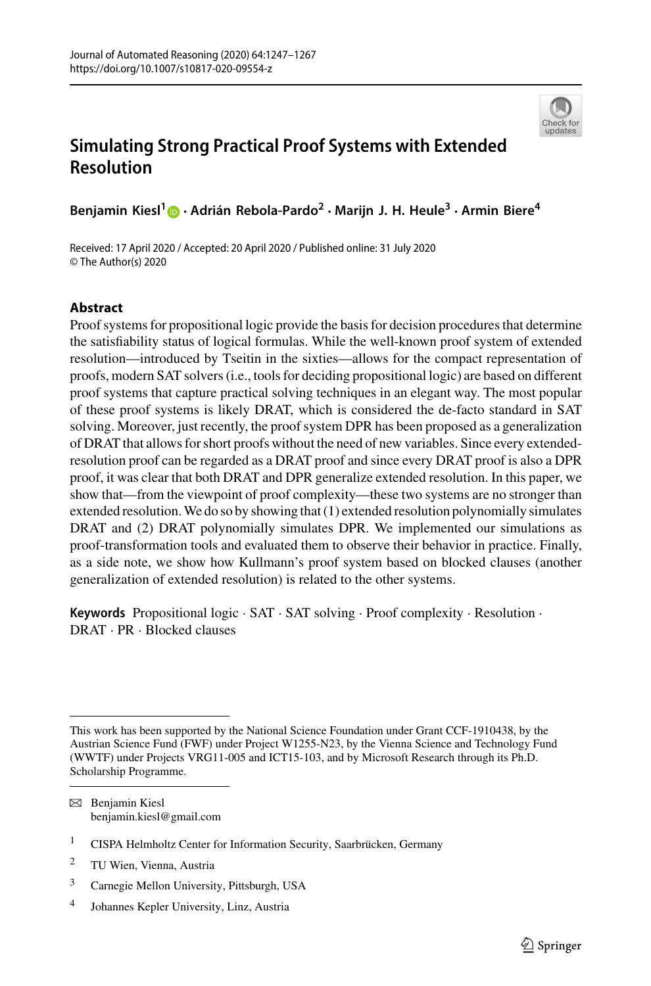

# **Simulating Strong Practical Proof Systems with Extended Resolution**

**Benjamin Kiesl[1](http://orcid.org/0000-0003-3522-3653) · Adrián Rebola-Pardo2 · Marijn J. H. Heule<sup>3</sup> · Armin Biere<sup>4</sup>**

Received: 17 April 2020 / Accepted: 20 April 2020 / Published online: 31 July 2020 © The Author(s) 2020

# **Abstract**

Proof systems for propositional logic provide the basis for decision procedures that determine the satisfiability status of logical formulas. While the well-known proof system of extended resolution—introduced by Tseitin in the sixties—allows for the compact representation of proofs, modern SAT solvers (i.e., tools for deciding propositional logic) are based on different proof systems that capture practical solving techniques in an elegant way. The most popular of these proof systems is likely DRAT, which is considered the de-facto standard in SAT solving. Moreover, just recently, the proof system DPR has been proposed as a generalization of DRAT that allows for short proofs without the need of new variables. Since every extendedresolution proof can be regarded as a DRAT proof and since every DRAT proof is also a DPR proof, it was clear that both DRAT and DPR generalize extended resolution. In this paper, we show that—from the viewpoint of proof complexity—these two systems are no stronger than extended resolution.We do so by showing that (1) extended resolution polynomially simulates DRAT and (2) DRAT polynomially simulates DPR. We implemented our simulations as proof-transformation tools and evaluated them to observe their behavior in practice. Finally, as a side note, we show how Kullmann's proof system based on blocked clauses (another generalization of extended resolution) is related to the other systems.

**Keywords** Propositional logic · SAT · SAT solving · Proof complexity · Resolution · DRAT · PR · Blocked clauses

B Benjamin Kiesl benjamin.kiesl@gmail.com

<sup>2</sup> TU Wien, Vienna, Austria

This work has been supported by the National Science Foundation under Grant CCF-1910438, by the Austrian Science Fund (FWF) under Project W1255-N23, by the Vienna Science and Technology Fund (WWTF) under Projects VRG11-005 and ICT15-103, and by Microsoft Research through its Ph.D. Scholarship Programme.

<sup>&</sup>lt;sup>1</sup> CISPA Helmholtz Center for Information Security, Saarbrücken, Germany

<sup>3</sup> Carnegie Mellon University, Pittsburgh, USA

<sup>4</sup> Johannes Kepler University, Linz, Austria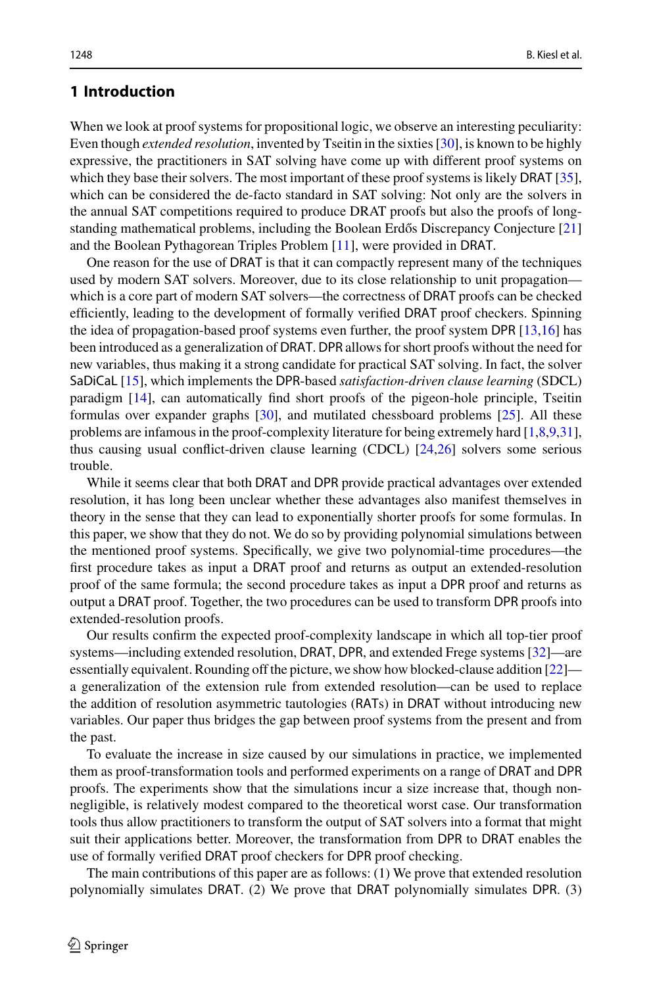## **1 Introduction**

When we look at proof systems for propositional logic, we observe an interesting peculiarity: Even though *extended resolution*, invented by Tseitin in the sixties [\[30\]](#page-20-0), is known to be highly expressive, the practitioners in SAT solving have come up with different proof systems on which they base their solvers. The most important of these proof systems is likely DRAT [\[35\]](#page-20-1), which can be considered the de-facto standard in SAT solving: Not only are the solvers in the annual SAT competitions required to produce DRAT proofs but also the proofs of long-standing mathematical problems, including the Boolean Erdős Discrepancy Conjecture [\[21\]](#page-20-2) and the Boolean Pythagorean Triples Problem [\[11\]](#page-19-0), were provided in DRAT.

One reason for the use of DRAT is that it can compactly represent many of the techniques used by modern SAT solvers. Moreover, due to its close relationship to unit propagation which is a core part of modern SAT solvers—the correctness of DRAT proofs can be checked efficiently, leading to the development of formally verified DRAT proof checkers. Spinning the idea of propagation-based proof systems even further, the proof system DPR [\[13](#page-19-1)[,16\]](#page-19-2) has been introduced as a generalization of DRAT. DPR allows for short proofs without the need for new variables, thus making it a strong candidate for practical SAT solving. In fact, the solver SaDiCaL [\[15](#page-19-3)], which implements the DPR-based *satisfaction-driven clause learning* (SDCL) paradigm [\[14](#page-19-4)], can automatically find short proofs of the pigeon-hole principle, Tseitin formulas over expander graphs [\[30\]](#page-20-0), and mutilated chessboard problems [\[25](#page-20-3)]. All these problems are infamous in the proof-complexity literature for being extremely hard [\[1](#page-19-5)[,8](#page-19-6)[,9](#page-19-7)[,31\]](#page-20-4), thus causing usual conflict-driven clause learning (CDCL) [\[24](#page-20-5)[,26\]](#page-20-6) solvers some serious trouble.

While it seems clear that both DRAT and DPR provide practical advantages over extended resolution, it has long been unclear whether these advantages also manifest themselves in theory in the sense that they can lead to exponentially shorter proofs for some formulas. In this paper, we show that they do not. We do so by providing polynomial simulations between the mentioned proof systems. Specifically, we give two polynomial-time procedures—the first procedure takes as input a DRAT proof and returns as output an extended-resolution proof of the same formula; the second procedure takes as input a DPR proof and returns as output a DRAT proof. Together, the two procedures can be used to transform DPR proofs into extended-resolution proofs.

Our results confirm the expected proof-complexity landscape in which all top-tier proof systems—including extended resolution, DRAT, DPR, and extended Frege systems [\[32\]](#page-20-7)—are essentially equivalent. Rounding off the picture, we show how blocked-clause addition [\[22](#page-20-8)] a generalization of the extension rule from extended resolution—can be used to replace the addition of resolution asymmetric tautologies (RATs) in DRAT without introducing new variables. Our paper thus bridges the gap between proof systems from the present and from the past.

To evaluate the increase in size caused by our simulations in practice, we implemented them as proof-transformation tools and performed experiments on a range of DRAT and DPR proofs. The experiments show that the simulations incur a size increase that, though nonnegligible, is relatively modest compared to the theoretical worst case. Our transformation tools thus allow practitioners to transform the output of SAT solvers into a format that might suit their applications better. Moreover, the transformation from DPR to DRAT enables the use of formally verified DRAT proof checkers for DPR proof checking.

The main contributions of this paper are as follows: (1) We prove that extended resolution polynomially simulates DRAT. (2) We prove that DRAT polynomially simulates DPR. (3)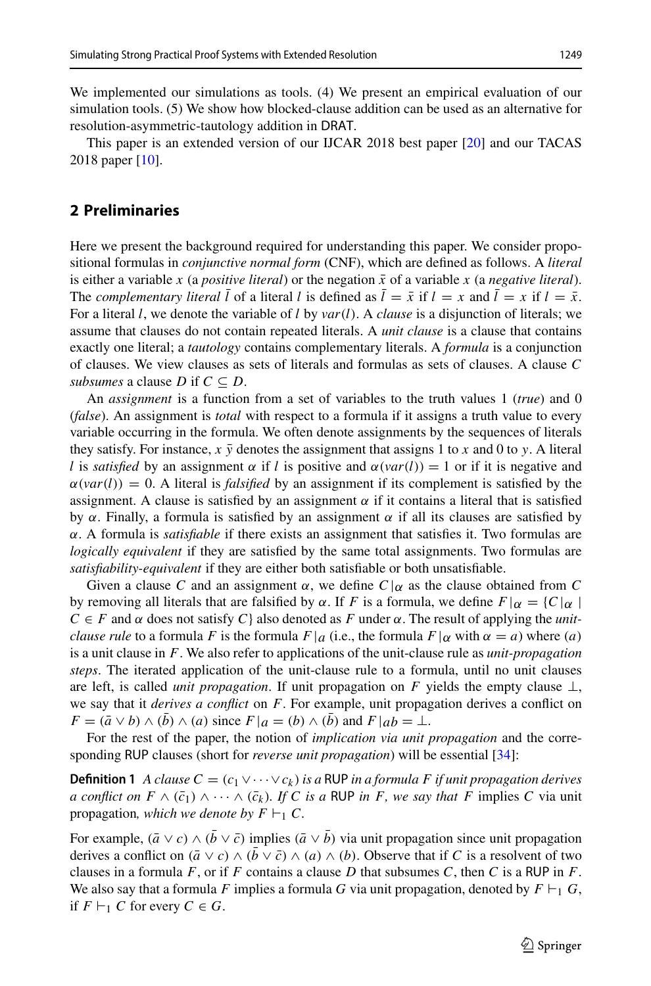We implemented our simulations as tools. (4) We present an empirical evaluation of our simulation tools. (5) We show how blocked-clause addition can be used as an alternative for resolution-asymmetric-tautology addition in DRAT.

This paper is an extended version of our IJCAR 2018 best paper [\[20\]](#page-20-9) and our TACAS 2018 paper [\[10](#page-19-8)].

## **2 Preliminaries**

Here we present the background required for understanding this paper. We consider propositional formulas in *conjunctive normal form* (CNF), which are defined as follows. A *literal* is either a variable *x* (a *positive literal*) or the negation  $\bar{x}$  of a variable *x* (a *negative literal*). The *complementary literal*  $\overline{l}$  of a literal *l* is defined as  $\overline{l} = \overline{x}$  if  $l = x$  and  $\overline{l} = x$  if  $l = \overline{x}$ . For a literal *l*, we denote the variable of *l* by *var*(*l*). A *clause* is a disjunction of literals; we assume that clauses do not contain repeated literals. A *unit clause* is a clause that contains exactly one literal; a *tautology* contains complementary literals. A *formula* is a conjunction of clauses. We view clauses as sets of literals and formulas as sets of clauses. A clause *C subsumes* a clause *D* if  $C \subseteq D$ .

An *assignment* is a function from a set of variables to the truth values 1 (*true*) and 0 (*false*). An assignment is *total* with respect to a formula if it assigns a truth value to every variable occurring in the formula. We often denote assignments by the sequences of literals they satisfy. For instance,  $x \bar{y}$  denotes the assignment that assigns 1 to *x* and 0 to *y*. A literal *l* is *satisfied* by an assignment  $\alpha$  if *l* is positive and  $\alpha$ (*var*(*l*)) = 1 or if it is negative and  $\alpha(var(l)) = 0$ . A literal is *falsified* by an assignment if its complement is satisfied by the assignment. A clause is satisfied by an assignment  $\alpha$  if it contains a literal that is satisfied by  $\alpha$ . Finally, a formula is satisfied by an assignment  $\alpha$  if all its clauses are satisfied by α. A formula is *satisfiable* if there exists an assignment that satisfies it. Two formulas are *logically equivalent* if they are satisfied by the same total assignments. Two formulas are *satisfiability-equivalent* if they are either both satisfiable or both unsatisfiable.

Given a clause C and an assignment  $\alpha$ , we define  $C|\alpha$  as the clause obtained from C by removing all literals that are falsified by α. If *F* is a formula, we define  $F|\alpha = \{C|\alpha\}$  $C \in F$  and  $\alpha$  does not satisfy  $C$  also denoted as F under  $\alpha$ . The result of applying the *unitclause rule* to a formula *F* is the formula  $F|a$  (i.e., the formula  $F|\alpha$  with  $\alpha = a$ ) where (*a*) is a unit clause in *F*. We also refer to applications of the unit-clause rule as *unit-propagation steps*. The iterated application of the unit-clause rule to a formula, until no unit clauses are left, is called *unit propagation*. If unit propagation on *F* yields the empty clause  $\perp$ , we say that it *derives a conflict* on *F*. For example, unit propagation derives a conflict on  $F = (\bar{a} \lor b) \land (b) \land (a)$  since  $F|a = (b) \land (b)$  and  $F|ab = \bot$ .

<span id="page-2-0"></span>For the rest of the paper, the notion of *implication via unit propagation* and the corresponding RUP clauses (short for *reverse unit propagation*) will be essential [\[34\]](#page-20-10):

**Definition 1** *A clause C* =  $(c_1 \vee \cdots \vee c_k)$  *is a* RUP *in a formula F if unit propagation derives a conflict on*  $F \wedge (\bar{c}_1) \wedge \cdots \wedge (\bar{c}_k)$ . If C is a RUP in F, we say that F implies C via unit propagation, which we denote by  $F \vdash_1 C$ .

For example,  $(\bar{a} \vee c) \wedge (\bar{b} \vee \bar{c})$  implies  $(\bar{a} \vee \bar{b})$  via unit propagation since unit propagation derives a conflict on  $(\bar{a} \vee c) \wedge (b \vee \bar{c}) \wedge (a) \wedge (b)$ . Observe that if *C* is a resolvent of two clauses in a formula  $F$ , or if  $F$  contains a clause  $D$  that subsumes  $C$ , then  $C$  is a RUP in  $F$ . We also say that a formula *F* implies a formula *G* via unit propagation, denoted by  $F \vdash_1 G$ , if  $F \vdash_1 C$  for every  $C \in G$ .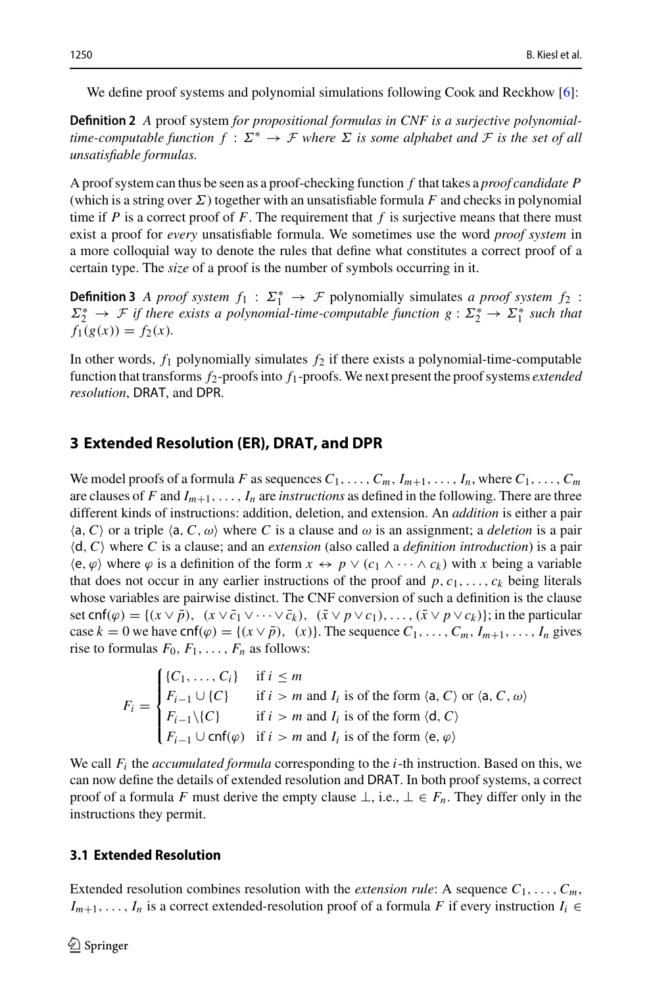We define proof systems and polynomial simulations following Cook and Reckhow [\[6](#page-19-9)]:

**Definition 2** *A* proof system *for propositional formulas in CNF is a surjective polynomialtime-computable function*  $f : \Sigma^* \to \mathcal{F}$  *where*  $\Sigma$  *is some alphabet and*  $\mathcal{F}$  *is the set of all unsatisfiable formulas.*

A proof system can thus be seen as a proof-checking function *f* that takes a *proof candidate P* (which is a string over  $\Sigma$ ) together with an unsatisfiable formula *F* and checks in polynomial time if *P* is a correct proof of *F*. The requirement that *f* is surjective means that there must exist a proof for *every* unsatisfiable formula. We sometimes use the word *proof system* in a more colloquial way to denote the rules that define what constitutes a correct proof of a certain type. The *size* of a proof is the number of symbols occurring in it.

**Definition 3** *A proof system*  $f_1$  :  $\Sigma_1^* \rightarrow \mathcal{F}$  polynomially simulates *a proof system*  $f_2$  :  $\Sigma_2^* \to \mathcal{F}$  if there exists a polynomial-time-computable function  $g: \Sigma_2^* \to \Sigma_1^*$  such that  $f_1(g(x)) = f_2(x)$ .

In other words,  $f_1$  polynomially simulates  $f_2$  if there exists a polynomial-time-computable function that transforms *f*2-proofs into *f*1-proofs. We next present the proof systems *extended resolution*, DRAT, and DPR.

## **3 Extended Resolution (ER), DRAT, and DPR**

We model proofs of a formula *F* as sequences  $C_1, \ldots, C_m, I_{m+1}, \ldots, I_n$ , where  $C_1, \ldots, C_m$ are clauses of *F* and  $I_{m+1}, \ldots, I_n$  are *instructions* as defined in the following. There are three different kinds of instructions: addition, deletion, and extension. An *addition* is either a pair  $\langle a, C \rangle$  or a triple  $\langle a, C, \omega \rangle$  where *C* is a clause and  $\omega$  is an assignment; a *deletion* is a pair <sup>d</sup>,*<sup>C</sup>* where *<sup>C</sup>* is a clause; and an *extension* (also called a *definition introduction*) is a pair  $\langle e, \varphi \rangle$  where  $\varphi$  is a definition of the form  $x \leftrightarrow p \lor (c_1 \land \cdots \land c_k)$  with *x* being a variable that does not occur in any earlier instructions of the proof and  $p, c_1, \ldots, c_k$  being literals whose variables are pairwise distinct. The CNF conversion of such a definition is the clause set cnf( $\varphi$ ) = { $(x \vee \bar{p})$ ,  $(x \vee \bar{c}_1 \vee \cdots \vee \bar{c}_k)$ ,  $(\bar{x} \vee p \vee c_1)$ , ...,  $(\bar{x} \vee p \vee c_k)$ }; in the particular case  $k = 0$  we have cnf $(\varphi) = \{(x \vee \overline{p}), (x)\}$ . The sequence  $C_1, \ldots, C_m, I_{m+1}, \ldots, I_n$  gives rise to formulas  $F_0, F_1, \ldots, F_n$  as follows:

$$
F_i = \begin{cases} \{C_1, \ldots, C_i\} & \text{if } i \le m \\ F_{i-1} \cup \{C\} & \text{if } i > m \text{ and } I_i \text{ is of the form } \langle \mathsf{a}, C \rangle \text{ or } \langle \mathsf{a}, C, \omega \rangle \\ F_{i-1} \setminus \{C\} & \text{if } i > m \text{ and } I_i \text{ is of the form } \langle \mathsf{d}, C \rangle \\ F_{i-1} \cup \mathsf{cnf}(\varphi) & \text{if } i > m \text{ and } I_i \text{ is of the form } \langle \mathsf{e}, \varphi \rangle \end{cases}
$$

We call *Fi* the *accumulated formula* corresponding to the *i*-th instruction. Based on this, we can now define the details of extended resolution and DRAT. In both proof systems, a correct proof of a formula *F* must derive the empty clause  $\bot$ , i.e.,  $\bot \in F_n$ . They differ only in the instructions they permit.

## **3.1 Extended Resolution**

Extended resolution combines resolution with the *extension rule*: A sequence  $C_1, \ldots, C_m$ , *I<sub>m+1</sub>*,..., *I<sub>n</sub>* is a correct extended-resolution proof of a formula *F* if every instruction *I<sub>i</sub>* ∈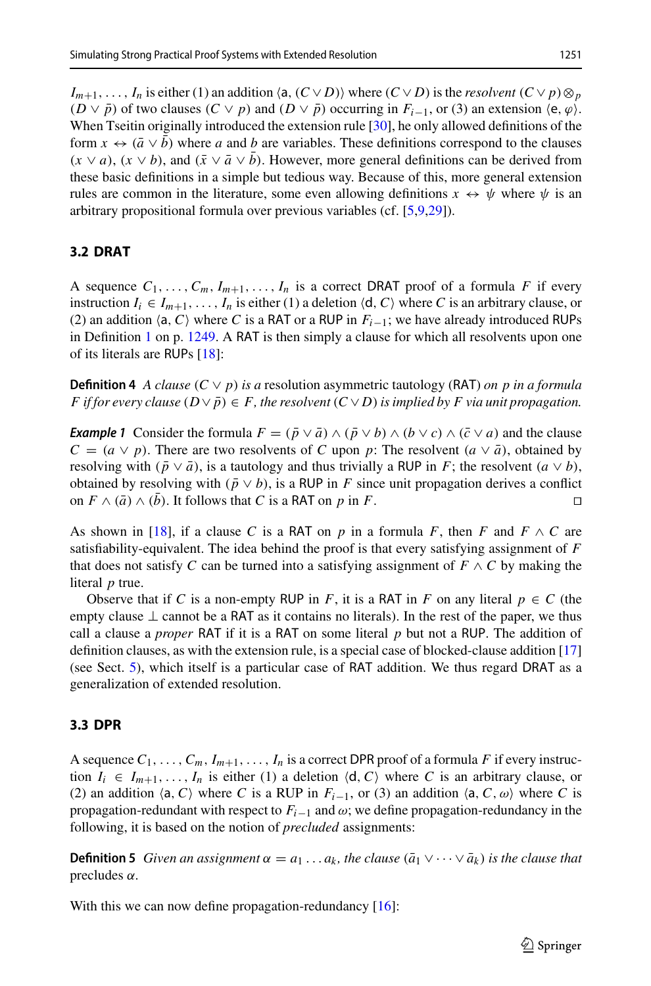$I_{m+1}, \ldots, I_n$  is either (1) an addition  $\langle a, (C \vee D) \rangle$  where  $(C \vee D)$  is the *resolvent*  $(C \vee p) \otimes_p p$  $(D \vee \overline{p})$  of two clauses  $(C \vee p)$  and  $(D \vee \overline{p})$  occurring in  $F_{i-1}$ , or (3) an extension  $\langle e, \varphi \rangle$ . When Tseitin originally introduced the extension rule [\[30](#page-20-0)], he only allowed definitions of the form  $x \leftrightarrow (\bar{a} \vee \bar{b})$  where *a* and *b* are variables. These definitions correspond to the clauses  $(x \vee a)$ ,  $(x \vee b)$ , and  $(\bar{x} \vee \bar{a} \vee \bar{b})$ . However, more general definitions can be derived from these basic definitions in a simple but tedious way. Because of this, more general extension rules are common in the literature, some even allowing definitions  $x \leftrightarrow \psi$  where  $\psi$  is an arbitrary propositional formula over previous variables (cf. [\[5](#page-19-10)[,9](#page-19-7)[,29\]](#page-20-11)).

# **3.2 DRAT**

A sequence  $C_1, \ldots, C_m, I_{m+1}, \ldots, I_n$  is a correct DRAT proof of a formula *F* if every instruction  $I_i \in I_{m+1}, \ldots, I_n$  is either (1) a deletion  $\langle d, C \rangle$  where *C* is an arbitrary clause, or (2) an addition  $\langle a, C \rangle$  where *C* is a RAT or a RUP in  $F_{i-1}$ ; we have already introduced RUPs in Definition [1](#page-2-0) on p. [1249.](#page-2-0) A RAT is then simply a clause for which all resolvents upon one of its literals are RUPs [\[18\]](#page-19-11):

**Definition 4** *A clause* ( $C \vee p$ ) *is a* resolution asymmetric tautology (RAT) *on p in a formula F* if for every clause  $(D \vee \overline{p}) \in F$ , the resolvent  $(C \vee D)$  is implied by F via unit propagation.

*Example 1* Consider the formula  $F = (\bar{p} \lor \bar{a}) \land (\bar{p} \lor b) \land (b \lor c) \land (\bar{c} \lor a)$  and the clause  $C = (a \vee p)$ . There are two resolvents of *C* upon *p*: The resolvent  $(a \vee \overline{a})$ , obtained by resolving with  $(\bar{p} \vee \bar{a})$ , is a tautology and thus trivially a RUP in *F*; the resolvent  $(a \vee b)$ , obtained by resolving with ( $\bar{p} \lor b$ ), is a RUP in *F* since unit propagation derives a conflict on *F* ∧ ( $\bar{a}$ ) ∧ ( $\bar{b}$ ). It follows that *C* is a RAT on *p* in *F*. on  $F \wedge (\bar{a}) \wedge (\bar{b})$ . It follows that *C* is a RAT on *p* in *F*.

As shown in [\[18](#page-19-11)], if a clause C is a RAT on p in a formula F, then F and  $F \wedge C$  are satisfiability-equivalent. The idea behind the proof is that every satisfying assignment of *F* that does not satisfy *C* can be turned into a satisfying assignment of  $F \wedge C$  by making the literal *p* true.

Observe that if *C* is a non-empty RUP in *F*, it is a RAT in *F* on any literal  $p \in C$  (the empty clause  $\perp$  cannot be a RAT as it contains no literals). In the rest of the paper, we thus call a clause a *proper* RAT if it is a RAT on some literal *p* but not a RUP. The addition of definition clauses, as with the extension rule, is a special case of blocked-clause addition [\[17\]](#page-19-12) (see Sect. [5\)](#page-11-0), which itself is a particular case of RAT addition. We thus regard DRAT as a generalization of extended resolution.

## **3.3 DPR**

A sequence  $C_1, \ldots, C_m, I_{m+1}, \ldots, I_n$  is a correct DPR proof of a formula *F* if every instruction  $I_i \in I_{m+1}, \ldots, I_n$  is either (1) a deletion  $\langle d, C \rangle$  where *C* is an arbitrary clause, or (2) an addition  $\langle a, C \rangle$  where *C* is a RUP in  $F_{i-1}$ , or (3) an addition  $\langle a, C, \omega \rangle$  where *C* is propagation-redundant with respect to  $F_{i-1}$  and  $\omega$ ; we define propagation-redundancy in the following, it is based on the notion of *precluded* assignments:

**Definition 5** *Given an assignment*  $\alpha = a_1 \dots a_k$ , the clause  $(\bar{a}_1 \vee \dots \vee \bar{a}_k)$  is the clause that precludes α*.*

With this we can now define propagation-redundancy [\[16](#page-19-2)]: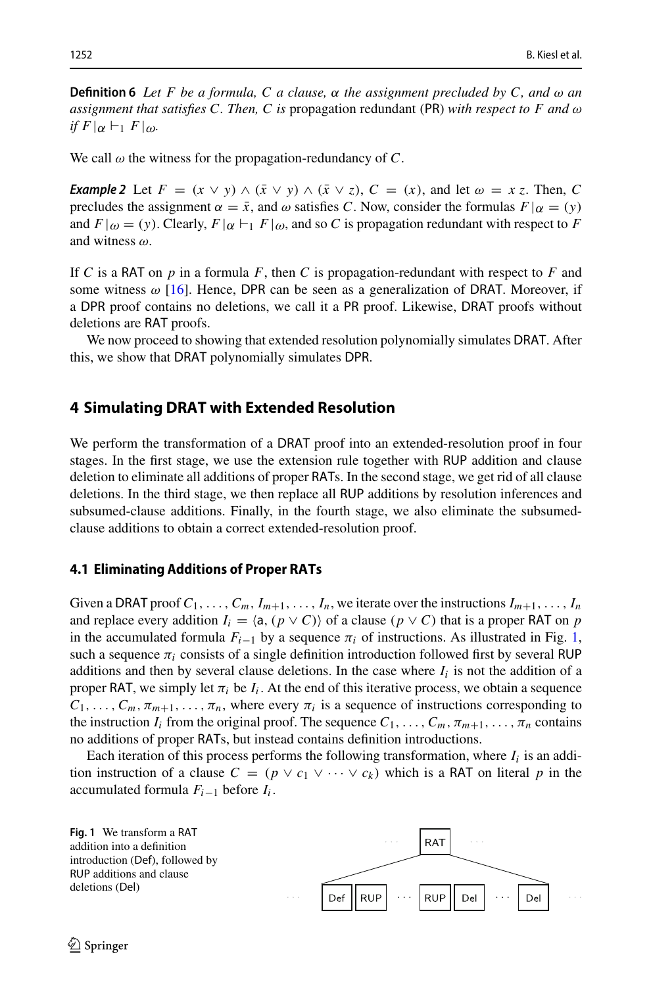**Definition 6** *Let F be a formula, C a clause,* α *the assignment precluded by C, and* ω *an assignment that satisfies C. Then, C is* propagation redundant (PR) *with respect to F and* ω *if*  $F|\alpha \vdash_1 F|\omega$ *.* 

We call  $\omega$  the witness for the propagation-redundancy of  $C$ .

*Example 2* Let  $F = (x \lor y) \land (\bar{x} \lor y) \land (\bar{x} \lor z)$ ,  $C = (x)$ , and let  $\omega = x \bar{z}$ . Then, C precludes the assignment  $\alpha = \bar{x}$ , and  $\omega$  satisfies *C*. Now, consider the formulas  $F|\alpha = (y)$ and  $F|_{\omega} = (y)$ . Clearly,  $F|_{\alpha} \vdash_1 F|_{\omega}$ , and so C is propagation redundant with respect to F and witness ω.

If *C* is a RAT on *p* in a formula *F*, then *C* is propagation-redundant with respect to *F* and some witness  $\omega$  [\[16](#page-19-2)]. Hence, DPR can be seen as a generalization of DRAT. Moreover, if a DPR proof contains no deletions, we call it a PR proof. Likewise, DRAT proofs without deletions are RAT proofs.

We now proceed to showing that extended resolution polynomially simulates DRAT. After this, we show that DRAT polynomially simulates DPR.

## <span id="page-5-1"></span>**4 Simulating DRAT with Extended Resolution**

We perform the transformation of a DRAT proof into an extended-resolution proof in four stages. In the first stage, we use the extension rule together with RUP addition and clause deletion to eliminate all additions of proper RATs. In the second stage, we get rid of all clause deletions. In the third stage, we then replace all RUP additions by resolution inferences and subsumed-clause additions. Finally, in the fourth stage, we also eliminate the subsumedclause additions to obtain a correct extended-resolution proof.

#### **4.1 Eliminating Additions of Proper RATs**

Given a DRAT proof  $C_1, \ldots, C_m, I_{m+1}, \ldots, I_n$ , we iterate over the instructions  $I_{m+1}, \ldots, I_n$ and replace every addition  $I_i = \langle a, (p \vee C) \rangle$  of a clause  $(p \vee C)$  that is a proper RAT on *p* in the accumulated formula  $F_{i-1}$  by a sequence  $\pi_i$  of instructions. As illustrated in Fig. [1,](#page-5-0) such a sequence  $\pi_i$  consists of a single definition introduction followed first by several RUP additions and then by several clause deletions. In the case where  $I_i$  is not the addition of a proper RAT, we simply let  $\pi_i$  be  $I_i$ . At the end of this iterative process, we obtain a sequence  $C_1, \ldots, C_m, \pi_{m+1}, \ldots, \pi_n$ , where every  $\pi_i$  is a sequence of instructions corresponding to the instruction *I<sub>i</sub>* from the original proof. The sequence  $C_1, \ldots, C_m, \pi_{m+1}, \ldots, \pi_n$  contains no additions of proper RATs, but instead contains definition introductions.

Each iteration of this process performs the following transformation, where  $I_i$  is an addition instruction of a clause  $C = (p \lor c_1 \lor \cdots \lor c_k)$  which is a RAT on literal p in the accumulated formula *Fi*−<sup>1</sup> before *Ii* .

<span id="page-5-0"></span>**Fig. 1** We transform a RAT addition into a definition introduction (Def), followed by RUP additions and clause deletions (Del) Def

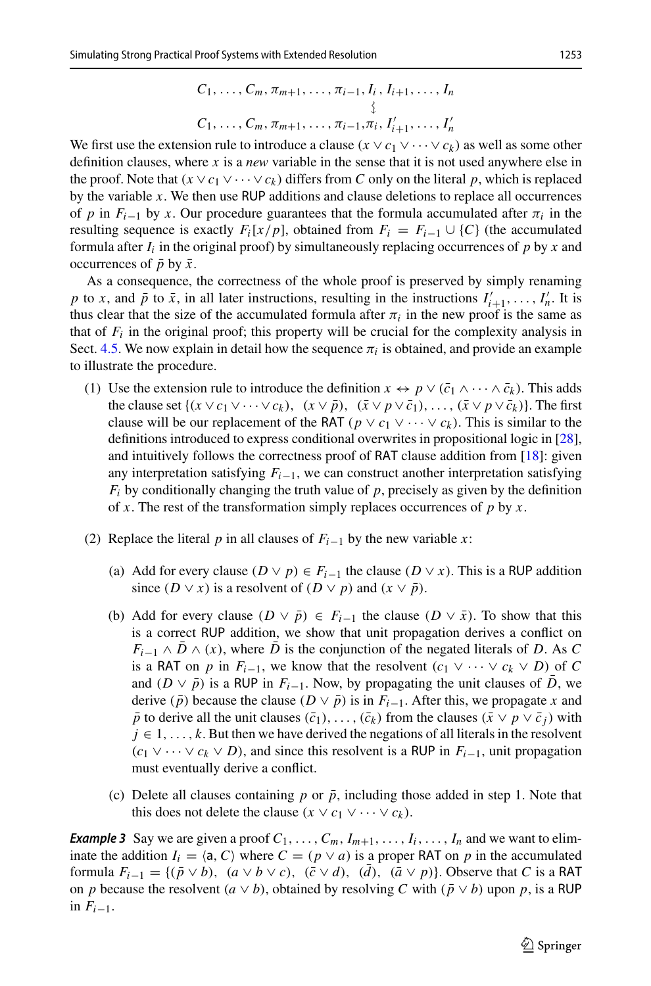$C_1, \ldots, C_m, \pi_{m+1}, \ldots, \pi_{i-1}, I_i, I_{i+1}, \ldots, I_m$  $\left\{ \right\}$  $C_1, \ldots, C_m, \pi_{m+1}, \ldots, \pi_{i-1}, \pi_i, I'_{i+1}, \ldots, I'_m$ 

We first use the extension rule to introduce a clause  $(x \lor c_1 \lor \cdots \lor c_k)$  as well as some other definition clauses, where *x* is a *new* variable in the sense that it is not used anywhere else in the proof. Note that  $(x \vee c_1 \vee \cdots \vee c_k)$  differs from *C* only on the literal *p*, which is replaced by the variable *x*. We then use RUP additions and clause deletions to replace all occurrences of *p* in  $F_{i-1}$  by *x*. Our procedure guarantees that the formula accumulated after  $\pi_i$  in the resulting sequence is exactly  $F_i[x/p]$ , obtained from  $F_i = F_{i-1} \cup \{C\}$  (the accumulated formula after  $I_i$  in the original proof) by simultaneously replacing occurrences of  $p$  by  $x$  and occurrences of  $\bar{p}$  by  $\bar{x}$ .

As a consequence, the correctness of the whole proof is preserved by simply renaming *p* to *x*, and  $\bar{p}$  to  $\bar{x}$ , in all later instructions, resulting in the instructions  $I'_{i+1}, \ldots, I'_{n}$ . It is thus clear that the size of the accumulated formula after  $\pi_i$  in the new proof is the same as that of  $F_i$  in the original proof; this property will be crucial for the complexity analysis in Sect. [4.5.](#page-10-0) We now explain in detail how the sequence  $\pi_i$  is obtained, and provide an example to illustrate the procedure.

- (1) Use the extension rule to introduce the definition  $x \leftrightarrow p \vee (\bar{c}_1 \wedge \cdots \wedge \bar{c}_k)$ . This adds the clause set  $\{(x \vee c_1 \vee \cdots \vee c_k), (x \vee \bar{p}), (\bar{x} \vee p \vee \bar{c}_1), \ldots, (\bar{x} \vee p \vee \bar{c}_k)\}\)$ . The first clause will be our replacement of the RAT ( $p \lor c_1 \lor \cdots \lor c_k$ ). This is similar to the definitions introduced to express conditional overwrites in propositional logic in [\[28\]](#page-20-12), and intuitively follows the correctness proof of RAT clause addition from [\[18](#page-19-11)]: given any interpretation satisfying *Fi*−1, we can construct another interpretation satisfying  $F_i$  by conditionally changing the truth value of  $p$ , precisely as given by the definition of *x*. The rest of the transformation simply replaces occurrences of *p* by *x*.
- (2) Replace the literal *p* in all clauses of  $F_{i-1}$  by the new variable *x*:
	- (a) Add for every clause  $(D \vee p) \in F_{i-1}$  the clause  $(D \vee x)$ . This is a RUP addition since  $(D \vee x)$  is a resolvent of  $(D \vee p)$  and  $(x \vee \overline{p})$ .
	- (b) Add for every clause  $(D \vee \overline{p}) \in F_{i-1}$  the clause  $(D \vee \overline{x})$ . To show that this is a correct RUP addition, we show that unit propagation derives a conflict on  $F_{i-1} \wedge \overline{D} \wedge (x)$ , where  $\overline{D}$  is the conjunction of the negated literals of *D*. As *C* is a RAT on *p* in  $F_{i-1}$ , we know that the resolvent  $(c_1 \vee \cdots \vee c_k \vee D)$  of *C* and ( $D \vee \bar{p}$ ) is a RUP in  $F_{i-1}$ . Now, by propagating the unit clauses of *D*, we derive ( $\bar{p}$ ) because the clause ( $D \vee \bar{p}$ ) is in  $F_{i-1}$ . After this, we propagate *x* and  $\bar{p}$  to derive all the unit clauses ( $\bar{c}_1$ ), . . . , ( $\bar{c}_k$ ) from the clauses ( $\bar{x} \vee p \vee \bar{c}_j$ ) with  $j \in 1, \ldots, k$ . But then we have derived the negations of all literals in the resolvent  $(c_1 \vee \cdots \vee c_k \vee D)$ , and since this resolvent is a RUP in  $F_{i-1}$ , unit propagation must eventually derive a conflict.
	- (c) Delete all clauses containing  $p$  or  $\bar{p}$ , including those added in step 1. Note that this does not delete the clause ( $x \lor c_1 \lor \cdots \lor c_k$ ).

*Example 3* Say we are given a proof  $C_1, \ldots, C_m, I_{m+1}, \ldots, I_i, \ldots, I_n$  and we want to eliminate the addition  $I_i = \langle a, C \rangle$  where  $C = (p \lor a)$  is a proper RAT on *p* in the accumulated formula  $F_{i-1} = \{(\bar{p} \vee b), (a \vee b \vee c), (\bar{c} \vee d), (\bar{d}), (\bar{a} \vee p)\}\)$ . Observe that *C* is a RAT on *p* because the resolvent ( $a \vee b$ ), obtained by resolving *C* with ( $\bar{p} \vee b$ ) upon *p*, is a RUP in  $F_{i-1}$ .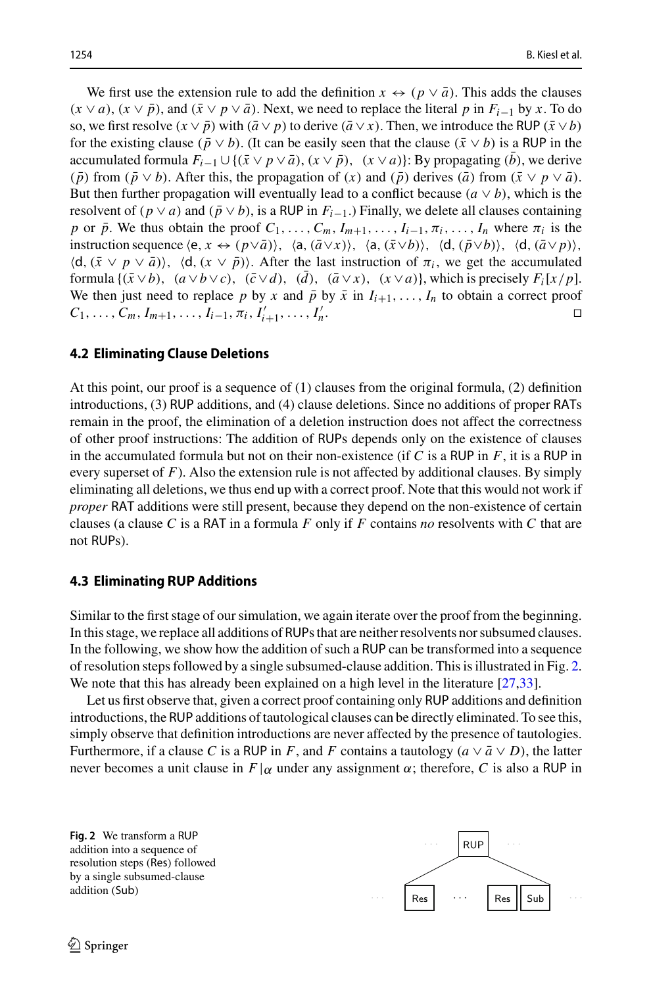We first use the extension rule to add the definition  $x \leftrightarrow (p \vee \overline{a})$ . This adds the clauses  $(x \lor a)$ ,  $(x \lor \bar{p})$ , and  $(\bar{x} \lor p \lor \bar{a})$ . Next, we need to replace the literal p in  $F_{i-1}$  by x. To do so, we first resolve  $(x \vee \overline{p})$  with  $(\overline{a} \vee p)$  to derive  $(\overline{a} \vee x)$ . Then, we introduce the RUP  $(\overline{x} \vee b)$ for the existing clause ( $\bar{p} \vee b$ ). (It can be easily seen that the clause ( $\bar{x} \vee b$ ) is a RUP in the accumulated formula  $F_{i-1} \cup \{(\bar{x} \vee p \vee \bar{a}), (x \vee \bar{p}), (x \vee a)\}\$ : By propagating (*b*), we derive  $(\bar{p})$  from  $(\bar{p} \vee b)$ . After this, the propagation of  $(x)$  and  $(\bar{p})$  derives  $(\bar{a})$  from  $(\bar{x} \vee p \vee \bar{a})$ . But then further propagation will eventually lead to a conflict because  $(a \vee b)$ , which is the resolvent of ( $p \vee a$ ) and ( $\bar{p} \vee b$ ), is a RUP in  $F_{i-1}$ .) Finally, we delete all clauses containing *p* or  $\bar{p}$ . We thus obtain the proof  $C_1, \ldots, C_m, I_{m+1}, \ldots, I_{i-1}, \pi_i, \ldots, I_n$  where  $\pi_i$  is the instruction sequence  $\langle e, x \leftrightarrow (p \vee \bar{a}) \rangle$ ,  $\langle a, (\bar{a} \vee x) \rangle$ ,  $\langle a, (\bar{x} \vee b) \rangle$ ,  $\langle d, (\bar{p} \vee b) \rangle$ ,  $\langle d, (\bar{a} \vee p) \rangle$ ,  $\langle d, (\bar{x} \vee p \vee \bar{a}) \rangle$ ,  $\langle d, (x \vee \bar{p}) \rangle$ . After the last instruction of  $\pi_i$ , we get the accumulated formula  $\{(\bar{x} \lor b), (a \lor b \lor c), (\bar{c} \lor d), (d), (\bar{a} \lor x), (x \lor a)\}\$ , which is precisely  $F_i[x/p]$ . We then just need to replace *p* by *x* and  $\bar{p}$  by  $\bar{x}$  in  $I_{i+1},..., I_n$  to obtain a correct proof  $C_1,..., C_m, I_{m+1},..., I_{i-1}, \pi_i, I'_{i+1},..., I'_n$ .  $C_1, \ldots, C_m, I_{m+1}, \ldots, I_{i-1}, \pi_i, I'_{i+1}, \ldots, I'_m$ *n*. □

## **4.2 Eliminating Clause Deletions**

At this point, our proof is a sequence of (1) clauses from the original formula, (2) definition introductions, (3) RUP additions, and (4) clause deletions. Since no additions of proper RATs remain in the proof, the elimination of a deletion instruction does not affect the correctness of other proof instructions: The addition of RUPs depends only on the existence of clauses in the accumulated formula but not on their non-existence (if *C* is a RUP in *F*, it is a RUP in every superset of *F*). Also the extension rule is not affected by additional clauses. By simply eliminating all deletions, we thus end up with a correct proof. Note that this would not work if *proper* RAT additions were still present, because they depend on the non-existence of certain clauses (a clause *C* is a RAT in a formula *F* only if *F* contains *no* resolvents with *C* that are not RUPs).

## <span id="page-7-1"></span>**4.3 Eliminating RUP Additions**

Similar to the first stage of our simulation, we again iterate over the proof from the beginning. In this stage, we replace all additions of RUPs that are neither resolvents nor subsumed clauses. In the following, we show how the addition of such a RUP can be transformed into a sequence of resolution steps followed by a single subsumed-clause addition. This is illustrated in Fig. [2.](#page-7-0) We note that this has already been explained on a high level in the literature [\[27](#page-20-13)[,33](#page-20-14)].

Let us first observe that, given a correct proof containing only RUP additions and definition introductions, the RUP additions of tautological clauses can be directly eliminated. To see this, simply observe that definition introductions are never affected by the presence of tautologies. Furthermore, if a clause *C* is a RUP in *F*, and *F* contains a tautology  $(a \lor \overline{a} \lor D)$ , the latter never becomes a unit clause in  $F|\alpha$  under any assignment  $\alpha$ ; therefore, C is also a RUP in

<span id="page-7-0"></span>**Fig. 2** We transform a RUP addition into a sequence of resolution steps (Res) followed by a single subsumed-clause addition (Sub)

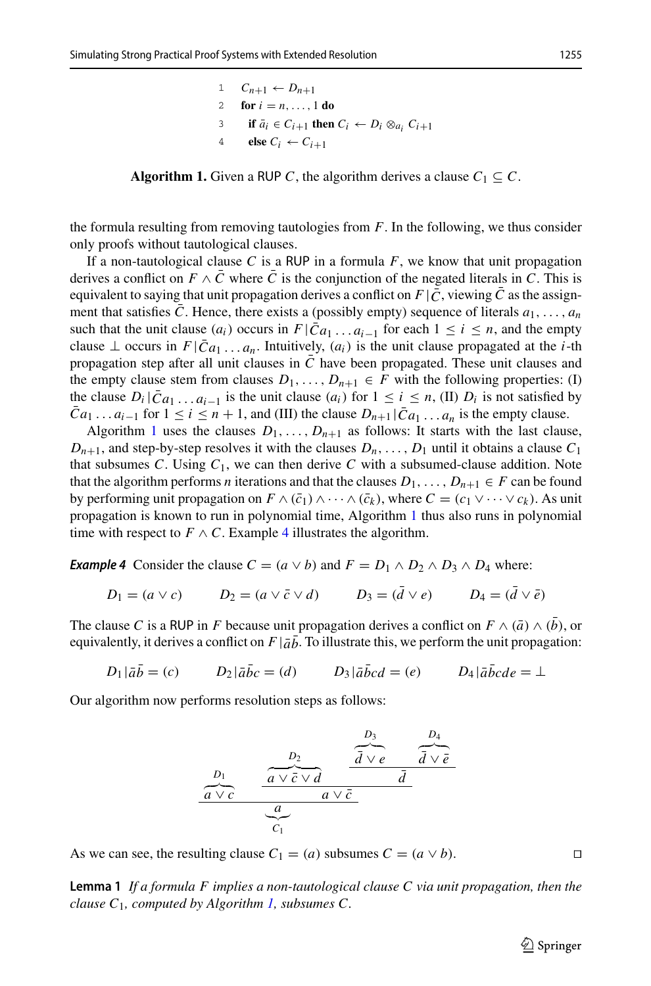$C_{n+1} \leftarrow D_{n+1}$ **for**  $i = n, ..., 1$  **do if**  $\bar{a}_i \in C_{i+1}$  **then**  $C_i \leftarrow D_i \otimes_{a_i} C_{i+1}$ <br>4 **else**  $C_i \leftarrow C_{i+1}$ else  $C_i \leftarrow C_{i+1}$ 

<span id="page-8-0"></span>**Algorithm 1.** Given a RUP *C*, the algorithm derives a clause  $C_1 \subseteq C$ .

the formula resulting from removing tautologies from *F*. In the following, we thus consider only proofs without tautological clauses.

If a non-tautological clause C is a RUP in a formula  $F$ , we know that unit propagation derives a conflict on  $F \wedge \overline{C}$  where  $\overline{C}$  is the conjunction of the negated literals in *C*. This is equivalent to saying that unit propagation derives a conflict on  $F | \bar{C}$ , viewing  $\bar{C}$  as the assignment that satisfies *C*. Hence, there exists a (possibly empty) sequence of literals  $a_1, \ldots, a_n$ such that the unit clause  $(a_i)$  occurs in  $F|\bar{C}a_1 \ldots a_{i-1}$  for each  $1 \le i \le n$ , and the empty clause  $\perp$  occurs in  $F[\bar{C}_{a_1} \ldots a_n]$ . Intuitively,  $(a_i)$  is the unit clause propagated at the *i*-th propagation step after all unit clauses in  $\overline{C}$  have been propagated. These unit clauses and the empty clause stem from clauses  $D_1, \ldots, D_{n+1} \in F$  with the following properties: (I) the clause  $D_i | \bar{C} a_1 ... a_{i-1}$  is the unit clause  $(a_i)$  for  $1 \le i \le n$ , (II)  $D_i$  is not satisfied by  $\overline{C}a_1 \ldots a_{i-1}$  for  $1 \le i \le n+1$ , and (III) the clause  $D_{n+1}|\overline{C}a_1 \ldots a_n$  is the empty clause.

Algorithm [1](#page-8-0) uses the clauses  $D_1, \ldots, D_{n+1}$  as follows: It starts with the last clause,  $D_{n+1}$ , and step-by-step resolves it with the clauses  $D_n, \ldots, D_1$  until it obtains a clause  $C_1$ that subsumes *C*. Using  $C_1$ , we can then derive *C* with a subsumed-clause addition. Note that the algorithm performs *n* iterations and that the clauses  $D_1, \ldots, D_{n+1} \in F$  can be found by performing unit propagation on  $F \wedge (\bar{c}_1) \wedge \cdots \wedge (\bar{c}_k)$ , where  $C = (c_1 \vee \cdots \vee c_k)$ . As unit propagation is known to run in polynomial time, Algorithm [1](#page-8-0) thus also runs in polynomial time with respect to  $F \wedge C$ . Example [4](#page-8-1) illustrates the algorithm.

<span id="page-8-1"></span>*Example 4* Consider the clause  $C = (a \lor b)$  and  $F = D_1 \land D_2 \land D_3 \land D_4$  where:

$$
D_1 = (a \lor c) \qquad D_2 = (a \lor \bar{c} \lor d) \qquad D_3 = (\bar{d} \lor e) \qquad D_4 = (\bar{d} \lor \bar{e})
$$

The clause *C* is a RUP in *F* because unit propagation derives a conflict on  $F \wedge (\bar{a}) \wedge (b)$ , or equivalently, it derives a conflict on  $F | \bar{a} \bar{b}$ . To illustrate this, we perform the unit propagation:

$$
D_1|\bar{a}\bar{b} = (c) \qquad D_2|\bar{a}\bar{b}c = (d) \qquad D_3|\bar{a}\bar{b}cd = (e) \qquad D_4|\bar{a}\bar{b}cde = \perp
$$

Our algorithm now performs resolution steps as follows:

$$
\begin{array}{c|c}\nD_1 & D_2 & \overbrace{\overbrace{\overbrace{\overbrace{\overline{a} \vee \overline{c} \vee d}}^{D_2}}^{D_3} & \overbrace{\overbrace{\overline{\overline{d} \vee e}}^{D_4}}^{D_5} \\
\overbrace{\overbrace{\overbrace{\overbrace{\overline{a} \vee \overline{c}}^{Q_4}}^{Q_5} & \overbrace{\overbrace{\overline{d} \vee \overline{e}}^{Q_4}}^{Q_5} \\
\overbrace{\overbrace{\overbrace{\overbrace{\overline{a} \vee \overline{c}}^{Q_6}}}^{Q_6} & \overbrace{\overbrace{\overline{a} \vee \overline{e}}^{Q_7} & \overbrace{\overbrace{\overline{a} \vee \overline{e}}^{Q_8} \\
\end{array}}
$$

As we can see, the resulting clause  $C_1 = (a)$  subsumes  $C = (a \vee b)$ .

<span id="page-8-2"></span>**Lemma 1** *If a formula F implies a non-tautological clause C via unit propagation, then the clause C*1*, computed by Algorithm [1,](#page-8-0) subsumes C.*

 $\circled{2}$  Springer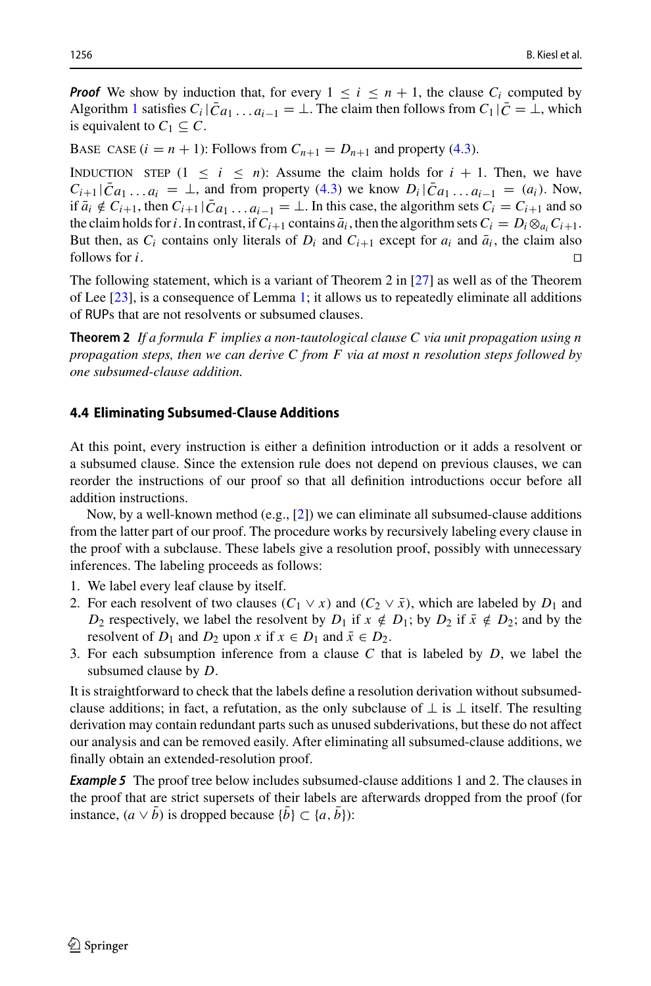*Proof* We show by induction that, for every  $1 \le i \le n + 1$ , the clause  $C_i$  computed by Algorithm [1](#page-8-0) satisfies  $C_i | \bar{C} a_1 ... a_{i-1} = \bot$ . The claim then follows from  $C_1 | \bar{C} = \bot$ , which is equivalent to  $C_1 \subseteq C$ .

BASE CASE  $(i = n + 1)$ : Follows from  $C_{n+1} = D_{n+1}$  and property [\(4.3\)](#page-7-0).

INDUCTION STEP  $(1 \le i \le n)$ : Assume the claim holds for  $i + 1$ . Then, we have  $C_{i+1}$  | $\bar{C}a_1 \ldots a_i = \bot$ , and from property [\(4.3\)](#page-7-0) we know  $D_i$  | $\bar{C}a_1 \ldots a_{i-1} = (a_i)$ . Now, if  $\bar{a}_i \notin C_{i+1}$ , then  $C_{i+1} | \bar{C} a_1 ... a_{i-1} = \bot$ . In this case, the algorithm sets  $C_i = C_{i+1}$  and so the claim holds for *i*. In contrast, if  $C_{i+1}$  contains  $\bar{a}_i$ , then the algorithm sets  $C_i = D_i \otimes_{a_i} C_{i+1}$ . But then, as  $C_i$  contains only literals of  $D_i$  and  $C_{i+1}$  except for  $a_i$  and  $\bar{a}_i$ , the claim also follows for *i*. follows for  $i$ .

The following statement, which is a variant of Theorem 2 in [\[27\]](#page-20-13) as well as of the Theorem of Lee [\[23\]](#page-20-15), is a consequence of Lemma [1;](#page-8-2) it allows us to repeatedly eliminate all additions of RUPs that are not resolvents or subsumed clauses.

<span id="page-9-0"></span>**Theorem 2** *If a formula F implies a non-tautological clause C via unit propagation using n propagation steps, then we can derive C from F via at most n resolution steps followed by one subsumed-clause addition.*

#### **4.4 Eliminating Subsumed-Clause Additions**

At this point, every instruction is either a definition introduction or it adds a resolvent or a subsumed clause. Since the extension rule does not depend on previous clauses, we can reorder the instructions of our proof so that all definition introductions occur before all addition instructions.

Now, by a well-known method  $(e.g., [2])$  $(e.g., [2])$  $(e.g., [2])$  we can eliminate all subsumed-clause additions from the latter part of our proof. The procedure works by recursively labeling every clause in the proof with a subclause. These labels give a resolution proof, possibly with unnecessary inferences. The labeling proceeds as follows:

- 1. We label every leaf clause by itself.
- 2. For each resolvent of two clauses  $(C_1 \vee x)$  and  $(C_2 \vee \overline{x})$ , which are labeled by  $D_1$  and *D*<sub>2</sub> respectively, we label the resolvent by *D*<sub>1</sub> if *x*  $\notin$  *D*<sub>1</sub>; by *D*<sub>2</sub> if  $\bar{x} \notin D_2$ ; and by the resolvent of  $D_1$  and  $D_2$  upon  $x$  if  $x \in D_1$  and  $\bar{x} \in D_2$ .
- 3. For each subsumption inference from a clause *C* that is labeled by *D*, we label the subsumed clause by *D*.

It is straightforward to check that the labels define a resolution derivation without subsumedclause additions; in fact, a refutation, as the only subclause of  $\perp$  is  $\perp$  itself. The resulting derivation may contain redundant parts such as unused subderivations, but these do not affect our analysis and can be removed easily. After eliminating all subsumed-clause additions, we finally obtain an extended-resolution proof.

**Example 5** The proof tree below includes subsumed-clause additions 1 and 2. The clauses in the proof that are strict supersets of their labels are afterwards dropped from the proof (for instance,  $(a \vee \overline{b})$  is dropped because  $\{\overline{b}\}\subset \{a, \overline{b}\}\$ :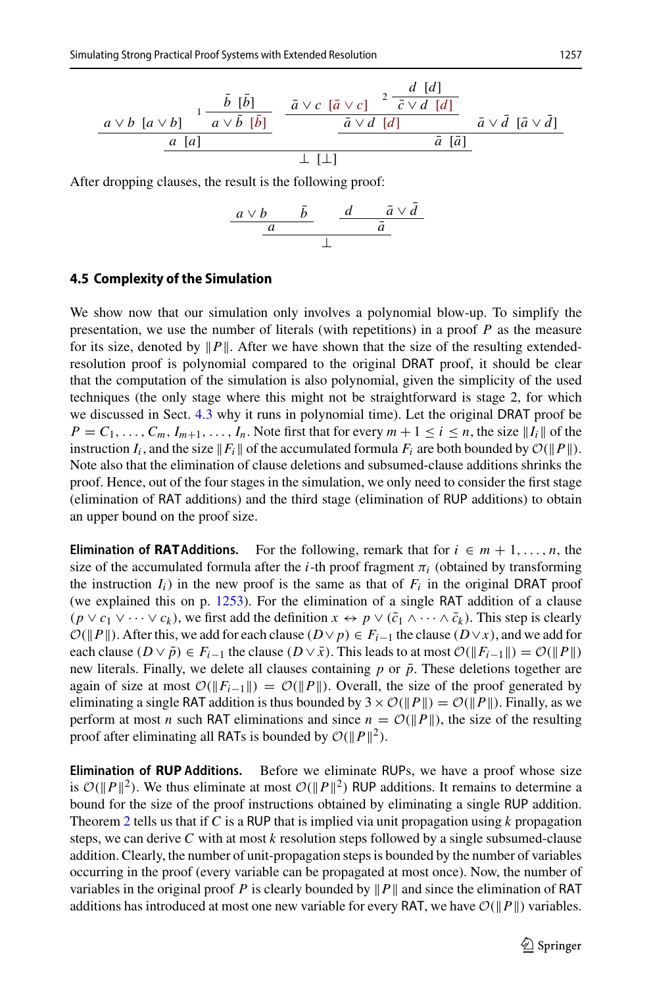$$
\frac{a \vee b \left[a \vee b\right]}{a \left[a\right]} \xrightarrow{\begin{array}{c} 1 - \frac{\bar{b} \left[\bar{b}\right]}{a \vee \bar{b} \left[\bar{b}\right]} \\ \frac{a}{\bar{a} \vee \bar{b} \left[\bar{b}\right]} \\ \frac{a \left[a\right]}{a} \end{array}} \xrightarrow{\begin{array}{c} \bar{a} \vee c \left[\bar{a} \vee c\right] & \frac{2 - \frac{d}{\bar{c} \vee d} \left[d\right]}{\bar{c} \vee d \left[d\right]} \\ \frac{\bar{a} \vee \bar{d} \left[\bar{a} \vee \bar{d}\right]}{\bar{a} \left[\bar{a}\right]} \\ \frac{1 \left[\bot\right]}{a} \end{array}} \qquad \frac{\bar{a} \vee \bar{a} \left[\bar{a} \vee \bar{d}\right]}{\bar{a} \left[\bar{a}\right]}
$$

After dropping clauses, the result is the following proof:

$$
\begin{array}{c|cc}\n a \vee b & \bar{b} & d & \bar{a} \vee \bar{d} \\
 \hline\n a & & \bar{a} \\
 & & \downarrow\n \end{array}
$$

#### <span id="page-10-0"></span>**4.5 Complexity of the Simulation**

We show now that our simulation only involves a polynomial blow-up. To simplify the presentation, we use the number of literals (with repetitions) in a proof *P* as the measure for its size, denoted by  $||P||$ . After we have shown that the size of the resulting extendedresolution proof is polynomial compared to the original DRAT proof, it should be clear that the computation of the simulation is also polynomial, given the simplicity of the used techniques (the only stage where this might not be straightforward is stage 2, for which we discussed in Sect. [4.3](#page-7-1) why it runs in polynomial time). Let the original DRAT proof be  $P = C_1, \ldots, C_m, I_{m+1}, \ldots, I_n$ . Note first that for every  $m + 1 \le i \le n$ , the size  $||I_i||$  of the instruction  $I_i$ , and the size  $||F_i||$  of the accumulated formula  $F_i$  are both bounded by  $\mathcal{O}(||P||)$ . Note also that the elimination of clause deletions and subsumed-clause additions shrinks the proof. Hence, out of the four stages in the simulation, we only need to consider the first stage (elimination of RAT additions) and the third stage (elimination of RUP additions) to obtain an upper bound on the proof size.

**Elimination of RAT** Additions. For the following, remark that for  $i \in m+1, \ldots, n$ , the size of the accumulated formula after the *i*-th proof fragment  $\pi_i$  (obtained by transforming the instruction  $I_i$ ) in the new proof is the same as that of  $F_i$  in the original DRAT proof (we explained this on p. [1253\)](#page-5-0). For the elimination of a single RAT addition of a clause  $(p \lor c_1 \lor \cdots \lor c_k)$ , we first add the definition  $x \leftrightarrow p \lor (\bar{c}_1 \land \cdots \land \bar{c}_k)$ . This step is clearly *O*( $\parallel$ *P* $\parallel$ ). After this, we add for each clause (*D*∨*p*) ∈ *F<sub>i−1</sub>* the clause (*D*∨*x*), and we add for each clause  $(D \vee \overline{p}) \in F_{i-1}$  the clause  $(D \vee \overline{x})$ . This leads to at most  $\mathcal{O}(\|F_{i-1}\|) = \mathcal{O}(\|P\|)$ new literals. Finally, we delete all clauses containing *p* or  $\bar{p}$ . These deletions together are again of size at most  $\mathcal{O}(\|F_{i-1}\|) = \mathcal{O}(\|P\|)$ . Overall, the size of the proof generated by eliminating a single RAT addition is thus bounded by  $3 \times \mathcal{O}(\Vert P \Vert) = \mathcal{O}(\Vert P \Vert)$ . Finally, as we perform at most *n* such RAT eliminations and since  $n = \mathcal{O}(\|P\|)$ , the size of the resulting proof after eliminating all RATs is bounded by  $\mathcal{O}(\Vert P \Vert^2)$ .

**Elimination of RUP Additions.** Before we eliminate RUPs, we have a proof whose size is  $\mathcal{O}(\|P\|^2)$ . We thus eliminate at most  $\mathcal{O}(\|P\|^2)$  RUP additions. It remains to determine a bound for the size of the proof instructions obtained by eliminating a single RUP addition. Theorem [2](#page-9-0) tells us that if *C* is a RUP that is implied via unit propagation using *k* propagation steps, we can derive *C* with at most *k* resolution steps followed by a single subsumed-clause addition. Clearly, the number of unit-propagation steps is bounded by the number of variables occurring in the proof (every variable can be propagated at most once). Now, the number of variables in the original proof *P* is clearly bounded by  $||P||$  and since the elimination of RAT additions has introduced at most one new variable for every RAT, we have  $O(||P||)$  variables.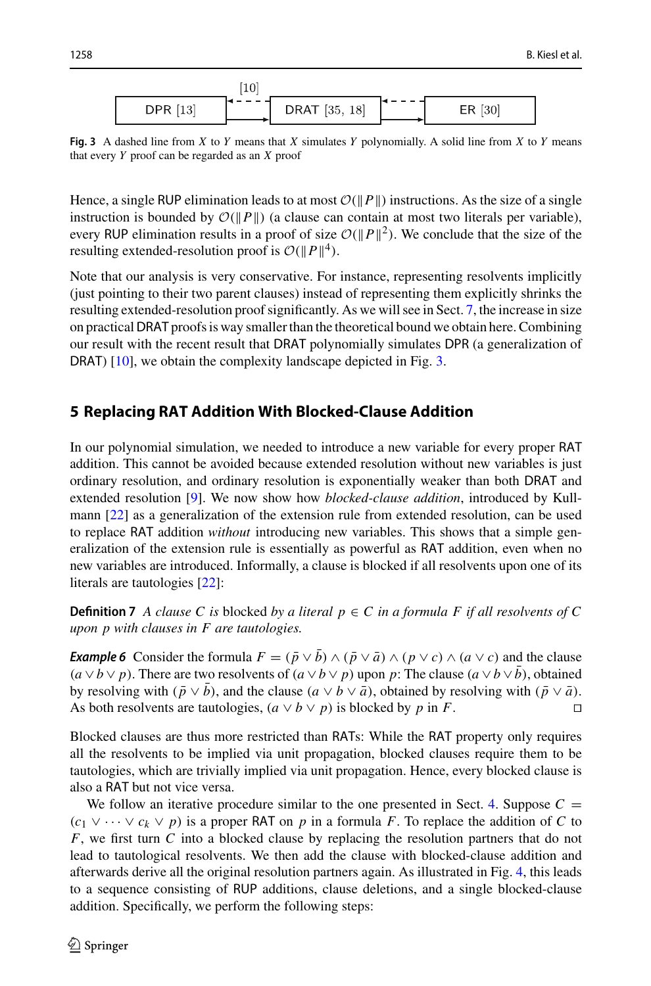

<span id="page-11-1"></span>**Fig. 3** A dashed line from *X* to *Y* means that *X* simulates *Y* polynomially. A solid line from *X* to *Y* means that every *Y* proof can be regarded as an *X* proof

Hence, a single RUP elimination leads to at most  $O(||P||)$  instructions. As the size of a single instruction is bounded by  $\mathcal{O}(|P||)$  (a clause can contain at most two literals per variable), every RUP elimination results in a proof of size  $\mathcal{O}(\Vert P \Vert^2)$ . We conclude that the size of the resulting extended-resolution proof is  $\mathcal{O}(\Vert P \Vert^4)$ .

Note that our analysis is very conservative. For instance, representing resolvents implicitly (just pointing to their two parent clauses) instead of representing them explicitly shrinks the resulting extended-resolution proof significantly. As we will see in Sect. [7,](#page-16-0) the increase in size on practicalDRAT proofs is way smaller than the theoretical bound we obtain here. Combining our result with the recent result that DRAT polynomially simulates DPR (a generalization of DRAT) [\[10](#page-19-8)], we obtain the complexity landscape depicted in Fig. [3.](#page-11-1)

## <span id="page-11-0"></span>**5 Replacing RAT Addition With Blocked-Clause Addition**

In our polynomial simulation, we needed to introduce a new variable for every proper RAT addition. This cannot be avoided because extended resolution without new variables is just ordinary resolution, and ordinary resolution is exponentially weaker than both DRAT and extended resolution [\[9\]](#page-19-7). We now show how *blocked-clause addition*, introduced by Kullmann [\[22\]](#page-20-8) as a generalization of the extension rule from extended resolution, can be used to replace RAT addition *without* introducing new variables. This shows that a simple generalization of the extension rule is essentially as powerful as RAT addition, even when no new variables are introduced. Informally, a clause is blocked if all resolvents upon one of its literals are tautologies [\[22\]](#page-20-8):

**Definition 7** *A clause C is* blocked *by a literal*  $p \in C$  *in a formula F if all resolvents of* C *upon p with clauses in F are tautologies.*

*Example 6* Consider the formula  $F = (\bar{p} \vee \bar{b}) \wedge (\bar{p} \vee \bar{a}) \wedge (p \vee c) \wedge (a \vee c)$  and the clause  $(a \lor b \lor p)$ . There are two resolvents of  $(a \lor b \lor p)$  upon *p*: The clause  $(a \lor b \lor b)$ , obtained by resolving with  $(\bar{p} \lor \bar{b})$ , and the clause  $(a \lor b \lor \bar{a})$ , obtained by resolving with  $(\bar{p} \lor \bar{a})$ .<br>As both resolvents are tautologies  $(a \lor b \lor n)$  is blocked by *n* in *F* As both resolvents are tautologies,  $(a \lor b \lor p)$  is blocked by p in F.

Blocked clauses are thus more restricted than RATs: While the RAT property only requires all the resolvents to be implied via unit propagation, blocked clauses require them to be tautologies, which are trivially implied via unit propagation. Hence, every blocked clause is also a RAT but not vice versa.

We follow an iterative procedure similar to the one presented in Sect. [4.](#page-5-1) Suppose  $C =$  $(c_1 \vee \cdots \vee c_k \vee p)$  is a proper RAT on p in a formula F. To replace the addition of C to *F*, we first turn *C* into a blocked clause by replacing the resolution partners that do not lead to tautological resolvents. We then add the clause with blocked-clause addition and afterwards derive all the original resolution partners again. As illustrated in Fig. [4,](#page-12-0) this leads to a sequence consisting of RUP additions, clause deletions, and a single blocked-clause addition. Specifically, we perform the following steps: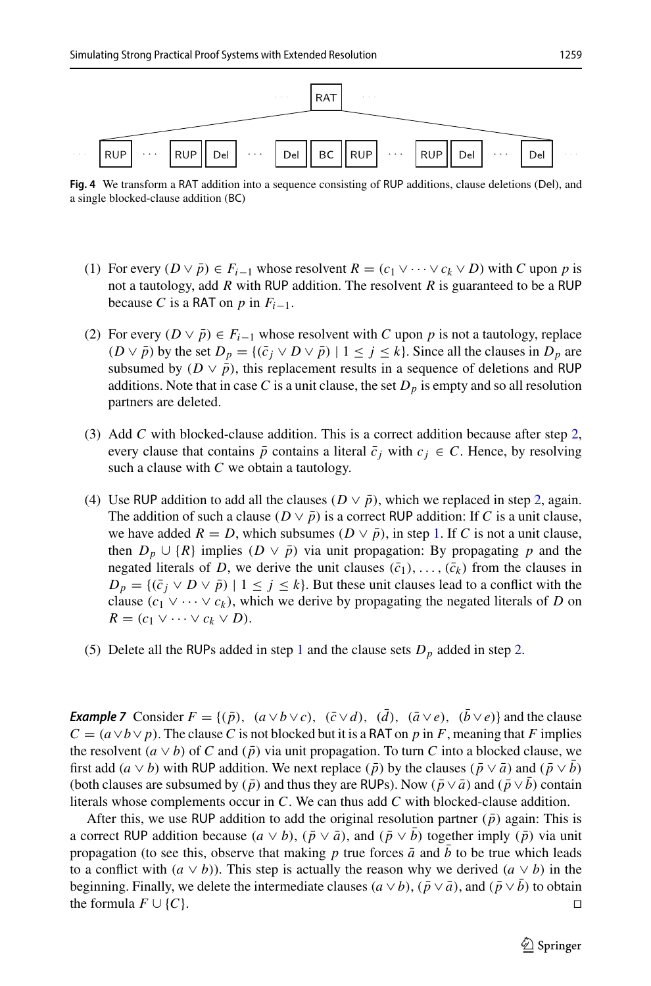

<span id="page-12-0"></span>**Fig. 4** We transform a RAT addition into a sequence consisting of RUP additions, clause deletions (Del), and a single blocked-clause addition (BC)

- <span id="page-12-2"></span>(1) For every  $(D \vee \overline{p}) \in F_{i-1}$  whose resolvent  $R = (c_1 \vee \cdots \vee c_k \vee D)$  with C upon p is not a tautology, add *R* with RUP addition. The resolvent *R* is guaranteed to be a RUP because *C* is a RAT on *p* in  $F_{i-1}$ .
- <span id="page-12-1"></span>(2) For every  $(D \vee \overline{p}) \in F_{i-1}$  whose resolvent with *C* upon *p* is not a tautology, replace  $(D \vee \bar{p})$  by the set  $D_p = \{(\bar{c}_j \vee D \vee \bar{p}) \mid 1 \leq j \leq k\}$ . Since all the clauses in  $D_p$  are subsumed by  $(D \vee \bar{p})$ , this replacement results in a sequence of deletions and RUP additions. Note that in case C is a unit clause, the set  $D<sub>p</sub>$  is empty and so all resolution partners are deleted.
- (3) Add *C* with blocked-clause addition. This is a correct addition because after step [2,](#page-12-1) every clause that contains  $\bar{p}$  contains a literal  $\bar{c}_j$  with  $c_j \in C$ . Hence, by resolving such a clause with *C* we obtain a tautology.
- (4) Use RUP addition to add all the clauses ( $D \vee \bar{p}$ ), which we replaced in step [2,](#page-12-1) again. The addition of such a clause ( $D \vee \overline{p}$ ) is a correct RUP addition: If *C* is a unit clause, we have added  $R = D$ , which subsumes  $(D \vee \bar{p})$ , in step [1.](#page-12-2) If *C* is not a unit clause, then  $D_p \cup \{R\}$  implies  $(D \vee \overline{p})$  via unit propagation: By propagating *p* and the negated literals of *D*, we derive the unit clauses  $(\bar{c}_1), \ldots, (\bar{c}_k)$  from the clauses in  $D_p = \{(\bar{c}_j \vee D \vee \bar{p}) \mid 1 \leq j \leq k\}$ . But these unit clauses lead to a conflict with the clause  $(c_1 \vee \cdots \vee c_k)$ , which we derive by propagating the negated literals of *D* on  $R = (c_1 \vee \cdots \vee c_k \vee D).$
- (5) Delete all the RUPs added in step [1](#page-12-2) and the clause sets  $D_p$  added in step [2.](#page-12-1)

*Example 7* Consider  $F = \{(\bar{p}), (a \lor b \lor c), (\bar{c} \lor d), (\bar{d}), (\bar{a} \lor e), (\bar{b} \lor e)\}$  and the clause  $C = (a \lor b \lor p)$ . The clause *C* is not blocked but it is a RAT on *p* in *F*, meaning that *F* implies the resolvent  $(a \vee b)$  of *C* and  $(\bar{p})$  via unit propagation. To turn *C* into a blocked clause, we first add  $(a \vee b)$  with RUP addition. We next replace  $(\bar{p})$  by the clauses  $(\bar{p} \vee \bar{a})$  and  $(\bar{p} \vee \bar{b})$ (both clauses are subsumed by  $(\bar{p})$  and thus they are RUPs). Now  $(\bar{p} \vee \bar{a})$  and  $(\bar{p} \vee b)$  contain literals whose complements occur in *C*. We can thus add *C* with blocked-clause addition.

After this, we use RUP addition to add the original resolution partner  $(\bar{p})$  again: This is a correct RUP addition because  $(a \vee b)$ ,  $(\bar{p} \vee \bar{a})$ , and  $(\bar{p} \vee \bar{b})$  together imply  $(\bar{p})$  via unit propagation (to see this, observe that making *p* true forces  $\bar{a}$  and  $\bar{b}$  to be true which leads to a conflict with  $(a \vee b)$ ). This step is actually the reason why we derived  $(a \vee b)$  in the beginning. Finally, we delete the intermediate clauses  $(a \lor b)$ ,  $(\bar{p} \lor \bar{a})$ , and  $(\bar{p} \lor \bar{b})$  to obtain the formula  $F \cup \{C\}$ . the formula  $F \cup \{C\}$ .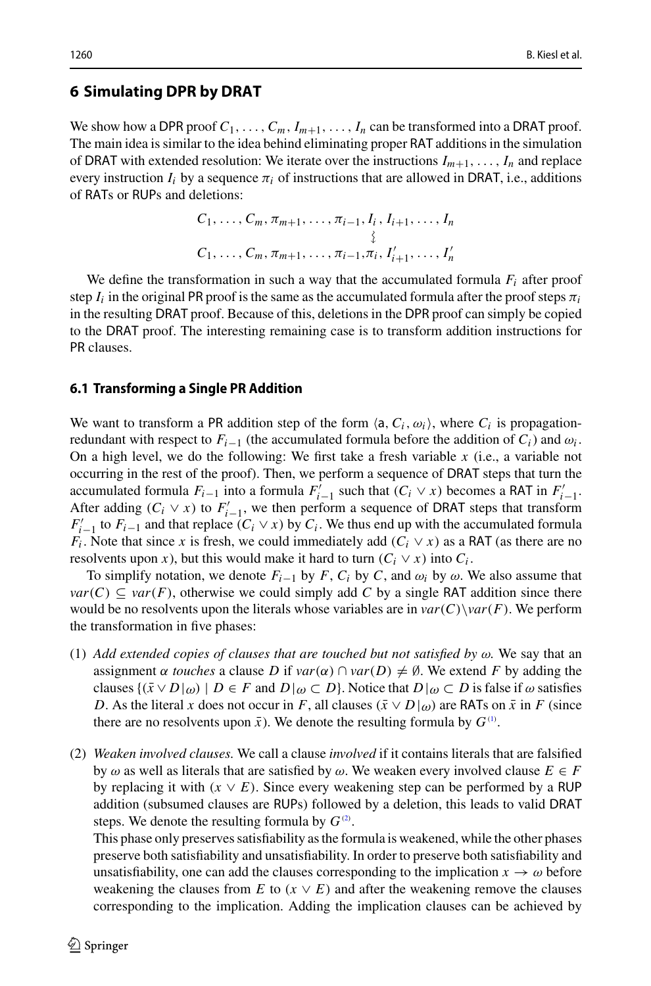#### **6 Simulating DPR by DRAT**

We show how a DPR proof  $C_1, \ldots, C_m, I_{m+1}, \ldots, I_n$  can be transformed into a DRAT proof. The main idea is similar to the idea behind eliminating proper RAT additions in the simulation of DRAT with extended resolution: We iterate over the instructions  $I_{m+1}, \ldots, I_n$  and replace every instruction  $I_i$  by a sequence  $\pi_i$  of instructions that are allowed in DRAT, i.e., additions of RATs or RUPs and deletions:

$$
C_1, \ldots, C_m, \pi_{m+1}, \ldots, \pi_{i-1}, I_i, I_{i+1}, \ldots, I_n
$$
  

$$
\vdots
$$
  

$$
C_1, \ldots, C_m, \pi_{m+1}, \ldots, \pi_{i-1}, \pi_i, I'_{i+1}, \ldots, I'_n
$$

We define the transformation in such a way that the accumulated formula *Fi* after proof step  $I_i$  in the original PR proof is the same as the accumulated formula after the proof steps  $\pi_i$ in the resulting DRAT proof. Because of this, deletions in the DPR proof can simply be copied to the DRAT proof. The interesting remaining case is to transform addition instructions for PR clauses.

#### **6.1 Transforming a Single PR Addition**

We want to transform a PR addition step of the form  $\langle a, C_i, \omega_i \rangle$ , where  $C_i$  is propagationredundant with respect to  $F_{i-1}$  (the accumulated formula before the addition of  $C_i$ ) and  $\omega_i$ . On a high level, we do the following: We first take a fresh variable *x* (i.e., a variable not occurring in the rest of the proof). Then, we perform a sequence of DRAT steps that turn the accumulated formula *F<sub>i*−1</sub> into a formula  $F'_{i-1}$  such that  $(C_i \vee x)$  becomes a RAT in  $F'_{i-1}$ . After adding  $(C_i \vee x)$  to  $F'_{i-1}$ , we then perform a sequence of DRAT steps that transform  $F'_{i-1}$  to  $F_{i-1}$  and that replace  $(C_i \vee x)$  by  $C_i$ . We thus end up with the accumulated formula *F<sub>i</sub>*. Note that since *x* is fresh, we could immediately add ( $C_i \vee x$ ) as a RAT (as there are no resolvents upon *x*), but this would make it hard to turn  $(C_i \vee x)$  into  $C_i$ .

To simplify notation, we denote  $F_{i-1}$  by  $F$ ,  $C_i$  by  $C$ , and  $\omega_i$  by  $\omega$ . We also assume that  $var(C) \subseteq var(F)$ , otherwise we could simply add *C* by a single RAT addition since there would be no resolvents upon the literals whose variables are in  $var(C)\varphi(r)$ . We perform the transformation in five phases:

- <span id="page-13-0"></span>(1) Add extended copies of clauses that are touched but not satisfied by  $\omega$ . We say that an assignment  $\alpha$  *touches* a clause *D* if  $var(\alpha) \cap var(D) \neq \emptyset$ . We extend *F* by adding the clauses  $\{(\bar{x} \vee D |_{\omega}) \mid D \in F \text{ and } D |_{\omega} \subset D\}$ . Notice that  $D |_{\omega} \subset D$  is false if  $\omega$  satisfies *D*. As the literal *x* does not occur in *F*, all clauses ( $\bar{x} \vee D|\omega$ ) are RATs on  $\bar{x}$  in *F* (since there are no resolvents upon  $\bar{x}$ ). We denote the resulting formula by  $G^{(1)}$  $G^{(1)}$  $G^{(1)}$ .
- <span id="page-13-1"></span>(2) *Weaken involved clauses.* We call a clause *involved* if it contains literals that are falsified by  $\omega$  as well as literals that are satisfied by  $\omega$ . We weaken every involved clause  $E \in F$ by replacing it with  $(x \vee E)$ . Since every weakening step can be performed by a RUP addition (subsumed clauses are RUPs) followed by a deletion, this leads to valid DRAT steps. We denote the resulting formula by  $G^{(2)}$  $G^{(2)}$  $G^{(2)}$ .

This phase only preserves satisfiability as the formula is weakened, while the other phases preserve both satisfiability and unsatisfiability. In order to preserve both satisfiability and unsatisfiability, one can add the clauses corresponding to the implication  $x \to \omega$  before weakening the clauses from *E* to  $(x \vee E)$  and after the weakening remove the clauses corresponding to the implication. Adding the implication clauses can be achieved by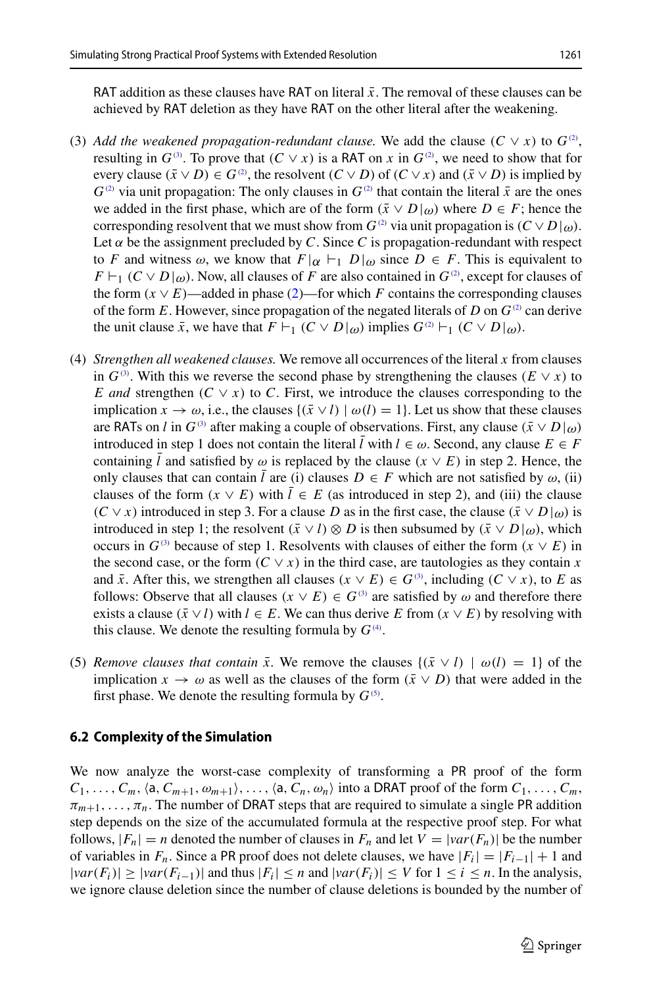RAT addition as these clauses have RAT on literal  $\bar{x}$ . The removal of these clauses can be achieved by RAT deletion as they have RAT on the other literal after the weakening.

- <span id="page-14-0"></span>(3) Add the weakened propagation-redundant clause. We add the clause  $(C \vee x)$  to  $G^{\circledcirc}$ , resulting in  $G^{(3)}$  $G^{(3)}$  $G^{(3)}$ . To prove that  $(C \vee x)$  is a RAT on *x* in  $G^{(2)}$  $G^{(2)}$  $G^{(2)}$ , we need to show that for every clause  $(\bar{x} \vee D) \in G^{\circledcirc}$ , the resolvent  $(C \vee D)$  of  $(C \vee x)$  and  $(\bar{x} \vee D)$  is implied by  $G^{(2)}$  $G^{(2)}$  $G^{(2)}$  via unit propagation: The only clauses in  $G^{(2)}$  that contain the literal  $\bar{x}$  are the ones we added in the first phase, which are of the form  $(\bar{x} \vee D |_{\omega})$  where  $D \in F$ ; hence the corresponding resolvent that we must show from  $G^{(2)}$  $G^{(2)}$  $G^{(2)}$  via unit propagation is  $(C \vee D|_{\omega})$ . Let  $\alpha$  be the assignment precluded by *C*. Since *C* is propagation-redundant with respect to *F* and witness  $\omega$ , we know that  $F|\alpha| \vdash_1 D|\omega$  since  $D \in F$ . This is equivalent to  $F\vdash_1 (C\vee D|_{\omega})$ . Now, all clauses of *F* are also contained in  $G^{\circ}$ , except for clauses of the form  $(x \vee E)$ —added in phase [\(2\)](#page-13-1)—for which *F* contains the corresponding clauses of the form *E*. However, since propagation of the negated literals of *D* on  $G^{(2)}$  $G^{(2)}$  $G^{(2)}$  can derive the unit clause  $\bar{x}$ , we have that  $F \vdash_1 (C \vee D|_{\omega})$  implies  $G^{\circ} \vdash_1 (C \vee D|_{\omega})$ .
- <span id="page-14-1"></span>(4) *Strengthen all weakened clauses.* We remove all occurrences of the literal *x* from clauses in  $G^{(3)}$  $G^{(3)}$  $G^{(3)}$ . With this we reverse the second phase by strengthening the clauses  $(E \vee x)$  to *E and* strengthen  $(C \vee x)$  to *C*. First, we introduce the clauses corresponding to the implication  $x \to \omega$ , i.e., the clauses  $\{(\bar{x} \vee l) \mid \omega(l) = 1\}$ . Let us show that these clauses are RATs on *l* in  $G^{(3)}$  $G^{(3)}$  $G^{(3)}$  after making a couple of observations. First, any clause  $(\bar{x} \vee D |_{\omega})$ introduced in step 1 does not contain the literal  $\bar{l}$  with  $l \in \omega$ . Second, any clause  $E \in F$ containing *l* and satisfied by  $\omega$  is replaced by the clause ( $x \vee E$ ) in step 2. Hence, the only clauses that can contain  $\bar{l}$  are (i) clauses  $D \in F$  which are not satisfied by  $\omega$ , (ii) clauses of the form  $(x \vee E)$  with  $\overline{l} \in E$  (as introduced in step 2), and (iii) the clause  $(C \vee x)$  introduced in step 3. For a clause *D* as in the first case, the clause  $(\bar{x} \vee D |_{\omega})$  is introduced in step 1; the resolvent  $(\bar{x} \lor l) \otimes D$  is then subsumed by  $(\bar{x} \lor D | \omega)$ , which occurs in  $G^{(3)}$  $G^{(3)}$  $G^{(3)}$  because of step 1. Resolvents with clauses of either the form  $(x \vee E)$  in the second case, or the form  $(C \vee x)$  in the third case, are tautologies as they contain x and  $\bar{x}$ . After this, we strengthen all clauses ( $x \vee E$ )  $\in G^{(3)}$  $\in G^{(3)}$  $\in G^{(3)}$ , including ( $C \vee x$ ), to *E* as follows: Observe that all clauses  $(x \vee E) \in G^{(3)}$  $(x \vee E) \in G^{(3)}$  $(x \vee E) \in G^{(3)}$  are satisfied by  $\omega$  and therefore there exists a clause  $(\bar{x} \lor l)$  with  $l \in E$ . We can thus derive *E* from  $(x \lor E)$  by resolving with this clause. We denote the resulting formula by  $G^{(4)}$  $G^{(4)}$  $G^{(4)}$ .
- <span id="page-14-2"></span>(5) *Remove clauses that contain*  $\bar{x}$ . We remove the clauses  $\{(\bar{x} \vee l) | \omega(l) = 1\}$  of the implication  $x \to \omega$  as well as the clauses of the form  $(\bar{x} \vee D)$  that were added in the first phase. We denote the resulting formula by  $G^{(5)}$  $G^{(5)}$  $G^{(5)}$ .

#### **6.2 Complexity of the Simulation**

We now analyze the worst-case complexity of transforming a PR proof of the form  $C_1, \ldots, C_m$ ,  $\langle a, C_{m+1}, \omega_{m+1} \rangle, \ldots, \langle a, C_n, \omega_n \rangle$  into a DRAT proof of the form  $C_1, \ldots, C_m$ ,  $\pi_{m+1}, \ldots, \pi_n$ . The number of DRAT steps that are required to simulate a single PR addition step depends on the size of the accumulated formula at the respective proof step. For what follows,  $|F_n| = n$  denoted the number of clauses in  $F_n$  and let  $V = |var(F_n)|$  be the number of variables in  $F_n$ . Since a PR proof does not delete clauses, we have  $|F_i| = |F_{i-1}| + 1$  and  $|var(F_i)|$  ≥  $|var(F_{i-1})|$  and thus  $|F_i|$  ≤ *n* and  $|var(F_i)|$  ≤ *V* for  $1 \le i \le n$ . In the analysis, we ignore clause deletion since the number of clause deletions is bounded by the number of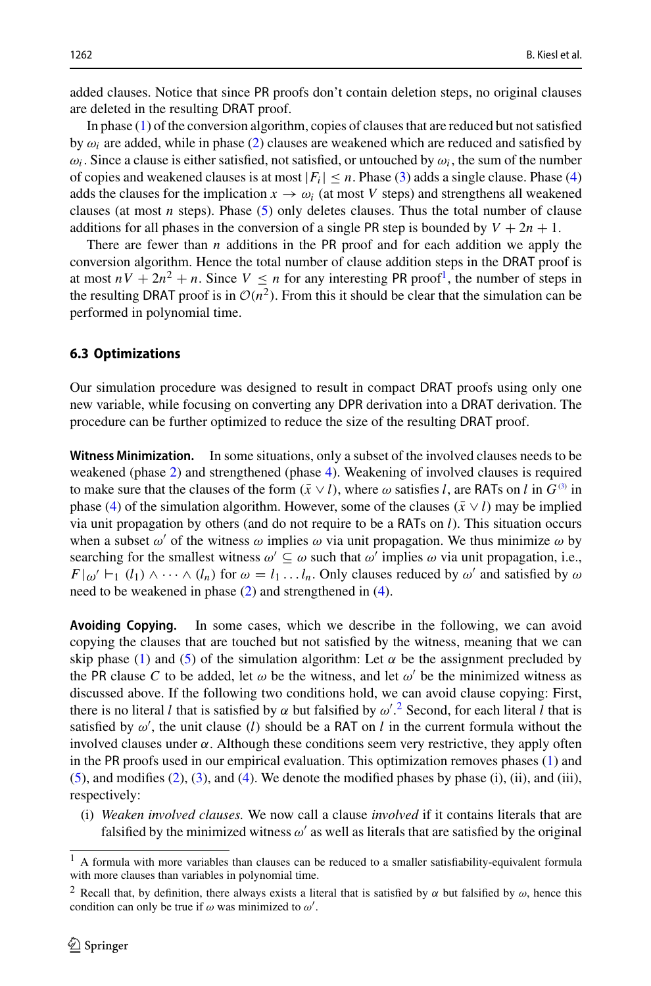added clauses. Notice that since PR proofs don't contain deletion steps, no original clauses are deleted in the resulting DRAT proof.

In phase [\(1\)](#page-13-0) of the conversion algorithm, copies of clauses that are reduced but not satisfied by  $\omega_i$  are added, while in phase [\(2\)](#page-13-1) clauses are weakened which are reduced and satisfied by  $\omega_i$ . Since a clause is either satisfied, not satisfied, or untouched by  $\omega_i$ , the sum of the number of copies and weakened clauses is at most  $|F_i| \leq n$ . Phase [\(3\)](#page-14-0) adds a single clause. Phase [\(4\)](#page-14-1) adds the clauses for the implication  $x \to \omega_i$  (at most V steps) and strengthens all weakened clauses (at most  $n$  steps). Phase  $(5)$  only deletes clauses. Thus the total number of clause additions for all phases in the conversion of a single PR step is bounded by  $V + 2n + 1$ .

There are fewer than *n* additions in the PR proof and for each addition we apply the conversion algorithm. Hence the total number of clause addition steps in the DRAT proof is at most  $nV + 2n^2 + n$ . Since  $V \le n$  for any interesting PR proof<sup>[1](#page-15-0)</sup>, the number of steps in the resulting DRAT proof is in  $O(n^2)$ . From this it should be clear that the simulation can be performed in polynomial time.

#### **6.3 Optimizations**

Our simulation procedure was designed to result in compact DRAT proofs using only one new variable, while focusing on converting any DPR derivation into a DRAT derivation. The procedure can be further optimized to reduce the size of the resulting DRAT proof.

**Witness Minimization.** In some situations, only a subset of the involved clauses needs to be weakened (phase [2\)](#page-13-1) and strengthened (phase [4\)](#page-14-1). Weakening of involved clauses is required to make sure that the clauses of the form  $(\bar{x} \vee l)$ , where  $\omega$  satisfies *l*, are RATs on *l* in  $G^{(3)}$  $G^{(3)}$  $G^{(3)}$  in phase [\(4\)](#page-14-1) of the simulation algorithm. However, some of the clauses ( $\bar{x} \vee l$ ) may be implied via unit propagation by others (and do not require to be a RATs on *l*). This situation occurs when a subset  $\omega'$  of the witness  $\omega$  implies  $\omega$  via unit propagation. We thus minimize  $\omega$  by searching for the smallest witness  $\omega' \subseteq \omega$  such that  $\omega'$  implies  $\omega$  via unit propagation, i.e.,  $F|\omega' \vdash_1 (l_1) \wedge \cdots \wedge (l_n)$  for  $\omega = l_1 \ldots l_n$ . Only clauses reduced by  $\omega'$  and satisfied by  $\omega$ need to be weakened in phase [\(2\)](#page-13-1) and strengthened in [\(4\)](#page-14-1).

**Avoiding Copying.** In some cases, which we describe in the following, we can avoid copying the clauses that are touched but not satisfied by the witness, meaning that we can skip phase [\(1\)](#page-13-0) and [\(5\)](#page-14-2) of the simulation algorithm: Let  $\alpha$  be the assignment precluded by the PR clause C to be added, let  $\omega$  be the witness, and let  $\omega'$  be the minimized witness as discussed above. If the following two conditions hold, we can avoid clause copying: First, there is no literal *l* that is satisfied by  $\alpha$  but falsified by  $\omega'^{2}$  $\omega'^{2}$  $\omega'^{2}$ . Second, for each literal *l* that is satisfied by  $\omega'$ , the unit clause (*l*) should be a RAT on *l* in the current formula without the involved clauses under  $\alpha$ . Although these conditions seem very restrictive, they apply often in the PR proofs used in our empirical evaluation. This optimization removes phases [\(1\)](#page-13-0) and  $(5)$ , and modifies  $(2)$ ,  $(3)$ , and  $(4)$ . We denote the modified phases by phase  $(i)$ ,  $(ii)$ , and  $(iii)$ , respectively:

(i) *Weaken involved clauses.* We now call a clause *involved* if it contains literals that are falsified by the minimized witness  $\omega'$  as well as literals that are satisfied by the original

<span id="page-15-0"></span><sup>1</sup> A formula with more variables than clauses can be reduced to a smaller satisfiability-equivalent formula with more clauses than variables in polynomial time.

<span id="page-15-1"></span><sup>&</sup>lt;sup>2</sup> Recall that, by definition, there always exists a literal that is satisfied by  $\alpha$  but falsified by  $\omega$ , hence this condition can only be true if  $\omega$  was minimized to  $\omega'$ .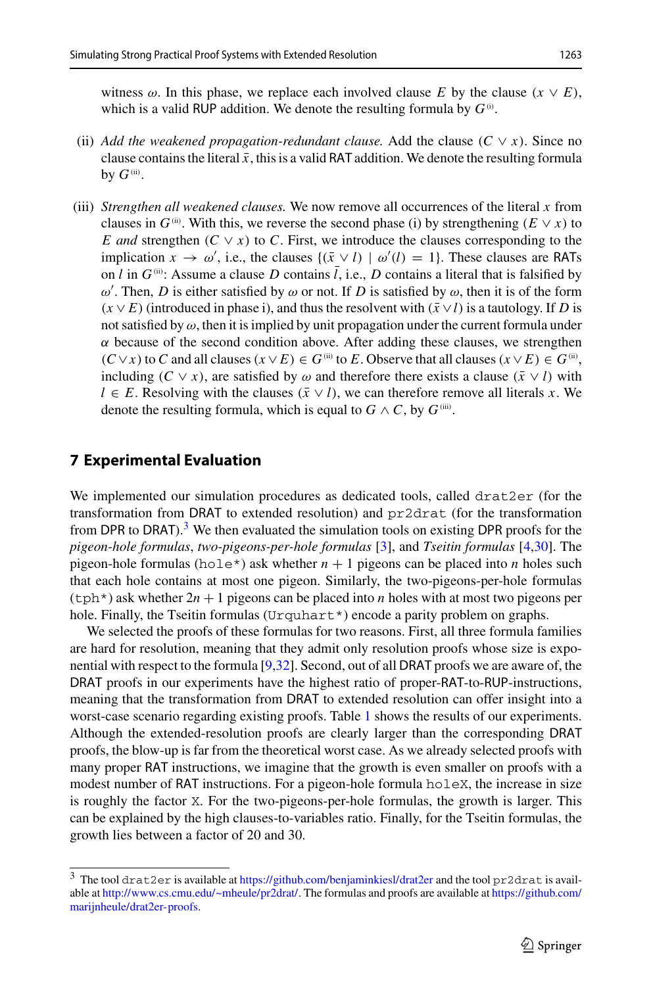- (ii) *Add the weakened propagation-redundant clause. Add the clause (* $C \vee x$ *). Since no* clause contains the literal  $\bar{x}$ , this is a valid RAT addition. We denote the resulting formula by  $G^{(ii)}$ .
- (iii) *Strengthen all weakened clauses.* We now remove all occurrences of the literal *x* from clauses in  $G^{(ii)}$ . With this, we reverse the second phase (i) by strengthening ( $E \vee x$ ) to *E and* strengthen  $(C \vee x)$  to *C*. First, we introduce the clauses corresponding to the implication  $x \to \omega'$ , i.e., the clauses  $\{(\bar{x} \vee l) | \omega'(l) = 1\}$ . These clauses are RATs on *l* in  $G^{(ii)}$ : Assume a clause *D* contains  $\overline{l}$ , i.e., *D* contains a literal that is falsified by  $ω'$ . Then, *D* is either satisfied by  $ω$  or not. If *D* is satisfied by  $ω$ , then it is of the form  $(x \vee E)$  (introduced in phase i), and thus the resolvent with  $(\bar{x} \vee l)$  is a tautology. If *D* is not satisfied by  $\omega$ , then it is implied by unit propagation under the current formula under  $\alpha$  because of the second condition above. After adding these clauses, we strengthen  $(C ∨ x)$  to *C* and all clauses  $(x ∨ E) ∈ G$ <sup>(ii)</sup> to *E*. Observe that all clauses  $(x ∨ E) ∈ G$ <sup>(ii)</sup>, including  $(C \vee x)$ , are satisfied by  $\omega$  and therefore there exists a clause  $(\bar{x} \vee l)$  with *l* ∈ *E*. Resolving with the clauses  $(\bar{x} \lor l)$ , we can therefore remove all literals *x*. We denote the resulting formula, which is equal to  $G \wedge C$ , by  $G^{(iii)}$ .

## <span id="page-16-0"></span>**7 Experimental Evaluation**

We implemented our simulation procedures as dedicated tools, called drat2er (for the transformation from DRAT to extended resolution) and pr2drat (for the transformation from DPR to DRAT).<sup>[3](#page-16-1)</sup> We then evaluated the simulation tools on existing DPR proofs for the *pigeon-hole formulas*, *two-pigeons-per-hole formulas* [\[3](#page-19-14)], and *Tseitin formulas* [\[4](#page-19-15)[,30](#page-20-0)]. The pigeon-hole formulas (hole<sup>\*</sup>) ask whether  $n + 1$  pigeons can be placed into *n* holes such that each hole contains at most one pigeon. Similarly, the two-pigeons-per-hole formulas  $(\text{tph}^*)$  ask whether  $2n + 1$  pigeons can be placed into *n* holes with at most two pigeons per hole. Finally, the Tseitin formulas (Urquhart  $\star$ ) encode a parity problem on graphs.

We selected the proofs of these formulas for two reasons. First, all three formula families are hard for resolution, meaning that they admit only resolution proofs whose size is exponential with respect to the formula [\[9](#page-19-7)[,32\]](#page-20-7). Second, out of all DRAT proofs we are aware of, the DRAT proofs in our experiments have the highest ratio of proper-RAT-to-RUP-instructions, meaning that the transformation from DRAT to extended resolution can offer insight into a worst-case scenario regarding existing proofs. Table [1](#page-17-0) shows the results of our experiments. Although the extended-resolution proofs are clearly larger than the corresponding DRAT proofs, the blow-up is far from the theoretical worst case. As we already selected proofs with many proper RAT instructions, we imagine that the growth is even smaller on proofs with a modest number of RAT instructions. For a pigeon-hole formula holeX, the increase in size is roughly the factor X. For the two-pigeons-per-hole formulas, the growth is larger. This can be explained by the high clauses-to-variables ratio. Finally, for the Tseitin formulas, the growth lies between a factor of 20 and 30.

<span id="page-16-1"></span><sup>3</sup> The tool drat2er is available at <https://github.com/benjaminkiesl/drat2er> and the tool pr2drat is available at [http://www.cs.cmu.edu/~mheule/pr2drat/.](http://www.cs.cmu.edu/~mheule/pr2drat/) The formulas and proofs are available at [https://github.com/](https://github.com/marijnheule/drat2er-proofs) [marijnheule/drat2er-proofs.](https://github.com/marijnheule/drat2er-proofs)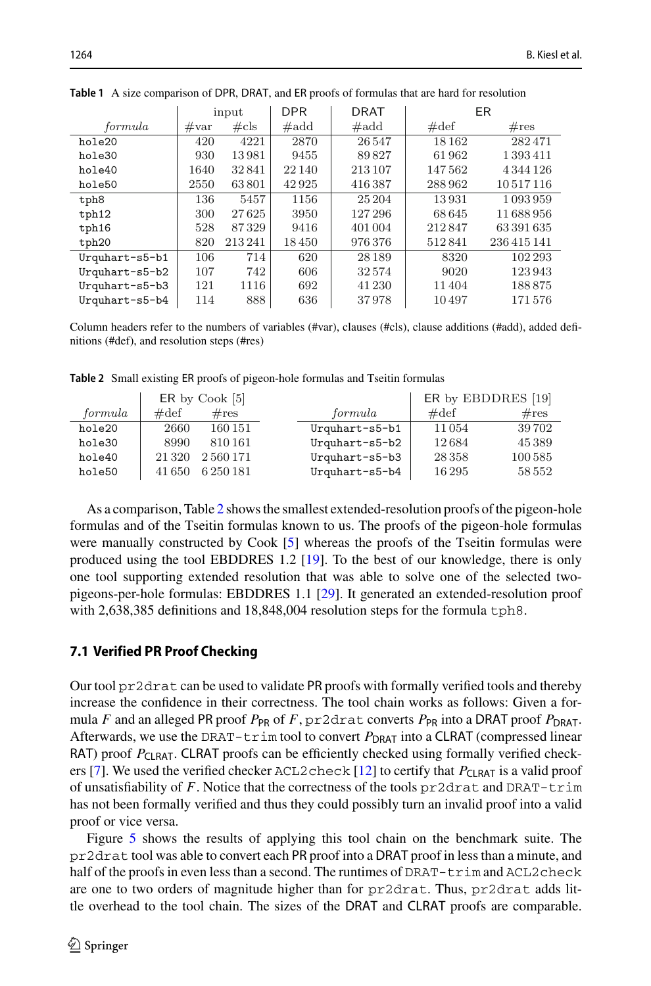|                | input          |         | <b>DPR</b>     | DRAT           | ER             |             |
|----------------|----------------|---------|----------------|----------------|----------------|-------------|
| formula        | $\#\text{var}$ | $\#cls$ | $\#\text{add}$ | $\#\text{add}$ | $\#\text{def}$ | $\#res$     |
| hole20         | 420            | 4221    | 2870           | 26547          | 18 16 2        | 282471      |
| hole30         | 930            | 13981   | 9455           | 89827          | 61962          | 1 393 411   |
| hole40         | 1640           | 32841   | 22 140         | 213 107        | 147562         | 4344126     |
| hole50         | 2550           | 63801   | 42925          | 416387         | 288962         | 10517116    |
| tph8           | 136            | 5457    | 1156           | 25 204         | 13931          | 1093959     |
| tph12          | 300            | 27625   | 3950           | 127296         | 68 645         | 11688956    |
| tph16          | 528            | 87329   | 9416           | 401 004        | 212847         | 63391635    |
| tph20          | 820            | 213241  | 18450          | 976376         | 512841         | 236 415 141 |
| Urquhart-s5-b1 | 106            | 714     | 620            | 28 1 8 9       | 8320           | 102 293     |
| Urquhart-s5-b2 | 107            | 742     | 606            | 32574          | 9020           | 123943      |
| Urquhart-s5-b3 | 121            | 1116    | 692            | 41 230         | 11404          | 188875      |
| Urquhart-s5-b4 | 114            | 888     | 636            | 37978          | 10497          | 171576      |

<span id="page-17-0"></span>**Table 1** A size comparison of DPR, DRAT, and ER proofs of formulas that are hard for resolution

Column headers refer to the numbers of variables (#var), clauses (#cls), clause additions (#add), added definitions (#def), and resolution steps (#res)

<span id="page-17-1"></span>**Table 2** Small existing ER proofs of pigeon-hole formulas and Tseitin formulas

|         |                | $ER$ by $Cook$ [5] | ER by EBDDRES [19] |                |         |
|---------|----------------|--------------------|--------------------|----------------|---------|
| formula | $\#\text{def}$ | $\#res$            | formula            | $\#\text{def}$ | $\#res$ |
| hole20  | 2660           | 160 151            | Urquhart-s5-b1     | 11054          | 39702   |
| hole30  | 8990           | 810161             | Urquhart-s5-b2     | 12684          | 45389   |
| hole40  | 21 3 20        | 2560171            | Urquhart-s5-b3     | 28 3 5 8       | 100585  |
| hole50  | 41 650         | 6 250 181          | Urquhart-s5-b4     | 16295          | 58 552  |

As a comparison, Table [2](#page-17-1) shows the smallest extended-resolution proofs of the pigeon-hole formulas and of the Tseitin formulas known to us. The proofs of the pigeon-hole formulas were manually constructed by Cook [\[5\]](#page-19-10) whereas the proofs of the Tseitin formulas were produced using the tool EBDDRES 1.2 [\[19\]](#page-19-16). To the best of our knowledge, there is only one tool supporting extended resolution that was able to solve one of the selected twopigeons-per-hole formulas: EBDDRES 1.1 [\[29](#page-20-11)]. It generated an extended-resolution proof with 2,638,385 definitions and 18,848,004 resolution steps for the formula tph8.

#### **7.1 Verified PR Proof Checking**

Our tool pr2drat can be used to validate PR proofs with formally verified tools and thereby increase the confidence in their correctness. The tool chain works as follows: Given a formula *F* and an alleged PR proof  $P_{PR}$  of *F*,  $pr2drat$  converts  $P_{PR}$  into a DRAT proof  $P_{DRAT}$ . Afterwards, we use the DRAT-trim tool to convert  $P_{\text{DRAT}}$  into a CLRAT (compressed linear RAT) proof P<sub>CLRAT</sub>. CLRAT proofs can be efficiently checked using formally verified check-ers [\[7](#page-19-17)]. We used the verified checker ACL2check [\[12](#page-19-18)] to certify that  $P_{\text{CI RAT}}$  is a valid proof of unsatisfiability of *F*. Notice that the correctness of the tools pr2drat and DRAT-trim has not been formally verified and thus they could possibly turn an invalid proof into a valid proof or vice versa.

Figure [5](#page-18-0) shows the results of applying this tool chain on the benchmark suite. The pr2drat tool was able to convert each PR proof into a DRAT proof in less than a minute, and half of the proofs in even less than a second. The runtimes of  $DRAT-trim$  and  $ACL2check$ are one to two orders of magnitude higher than for pr2drat. Thus, pr2drat adds little overhead to the tool chain. The sizes of the DRAT and CLRAT proofs are comparable.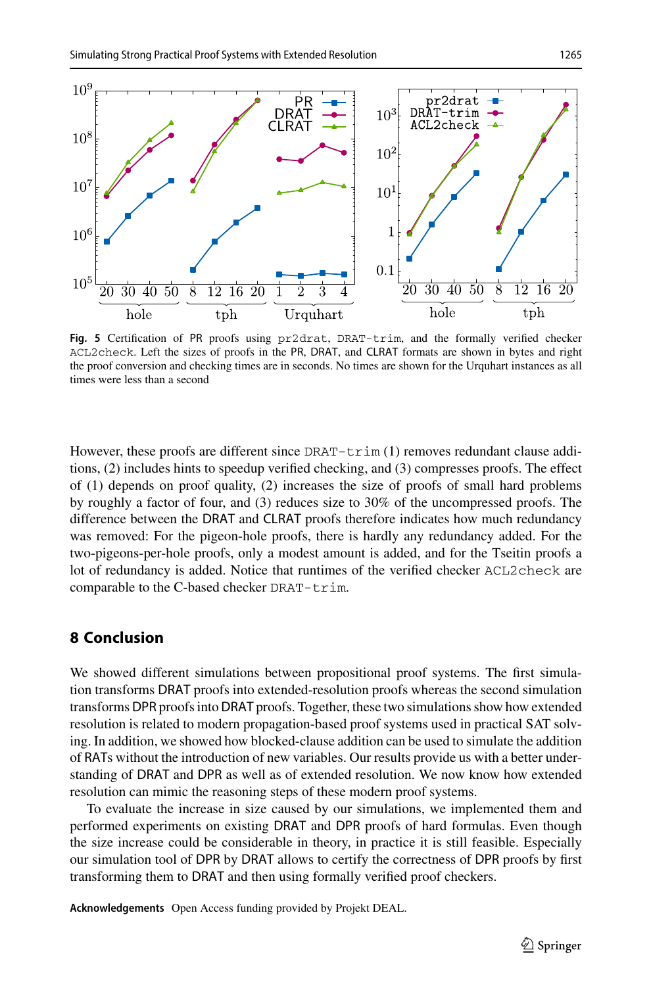

<span id="page-18-0"></span>**Fig. 5** Certification of PR proofs using pr2drat, DRAT-trim, and the formally verified checker ACL2check. Left the sizes of proofs in the PR, DRAT, and CLRAT formats are shown in bytes and right the proof conversion and checking times are in seconds. No times are shown for the Urquhart instances as all times were less than a second

However, these proofs are different since  $DRAT-trim (1)$  removes redundant clause additions, (2) includes hints to speedup verified checking, and (3) compresses proofs. The effect of (1) depends on proof quality, (2) increases the size of proofs of small hard problems by roughly a factor of four, and (3) reduces size to 30% of the uncompressed proofs. The difference between the DRAT and CLRAT proofs therefore indicates how much redundancy was removed: For the pigeon-hole proofs, there is hardly any redundancy added. For the two-pigeons-per-hole proofs, only a modest amount is added, and for the Tseitin proofs a lot of redundancy is added. Notice that runtimes of the verified checker ACL2check are comparable to the C-based checker DRAT-trim.

# **8 Conclusion**

We showed different simulations between propositional proof systems. The first simulation transforms DRAT proofs into extended-resolution proofs whereas the second simulation transforms DPR proofs into DRAT proofs. Together, these two simulations show how extended resolution is related to modern propagation-based proof systems used in practical SAT solving. In addition, we showed how blocked-clause addition can be used to simulate the addition of RATs without the introduction of new variables. Our results provide us with a better understanding of DRAT and DPR as well as of extended resolution. We now know how extended resolution can mimic the reasoning steps of these modern proof systems.

To evaluate the increase in size caused by our simulations, we implemented them and performed experiments on existing DRAT and DPR proofs of hard formulas. Even though the size increase could be considerable in theory, in practice it is still feasible. Especially our simulation tool of DPR by DRAT allows to certify the correctness of DPR proofs by first transforming them to DRAT and then using formally verified proof checkers.

**Acknowledgements** Open Access funding provided by Projekt DEAL.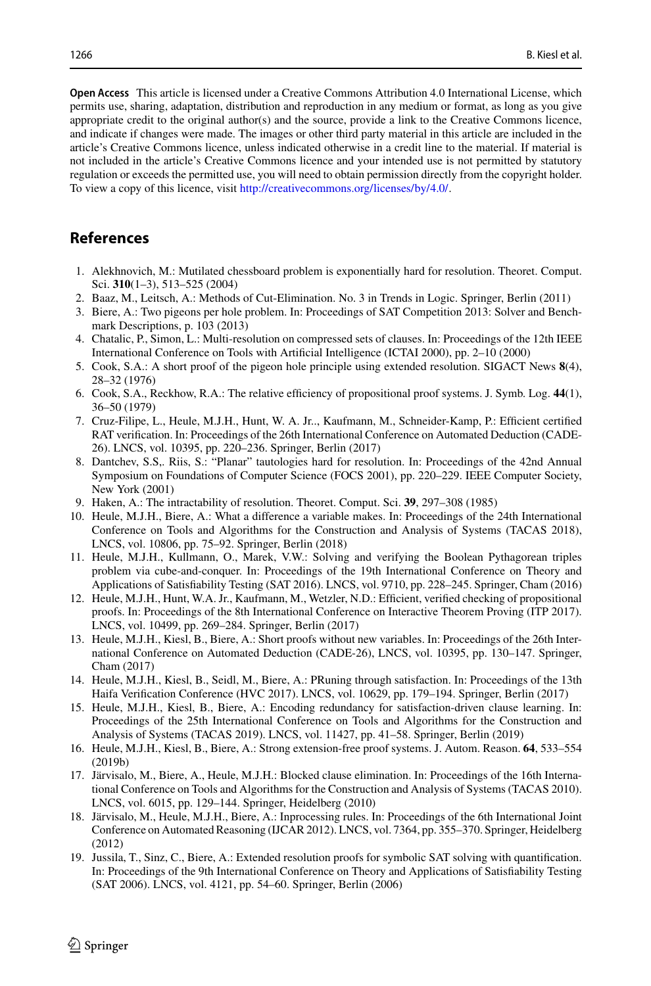**Open Access** This article is licensed under a Creative Commons Attribution 4.0 International License, which permits use, sharing, adaptation, distribution and reproduction in any medium or format, as long as you give appropriate credit to the original author(s) and the source, provide a link to the Creative Commons licence, and indicate if changes were made. The images or other third party material in this article are included in the article's Creative Commons licence, unless indicated otherwise in a credit line to the material. If material is not included in the article's Creative Commons licence and your intended use is not permitted by statutory regulation or exceeds the permitted use, you will need to obtain permission directly from the copyright holder. To view a copy of this licence, visit [http://creativecommons.org/licenses/by/4.0/.](http://creativecommons.org/licenses/by/4.0/)

# **References**

- <span id="page-19-5"></span>1. Alekhnovich, M.: Mutilated chessboard problem is exponentially hard for resolution. Theoret. Comput. Sci. **310**(1–3), 513–525 (2004)
- <span id="page-19-13"></span>2. Baaz, M., Leitsch, A.: Methods of Cut-Elimination. No. 3 in Trends in Logic. Springer, Berlin (2011)
- <span id="page-19-14"></span>3. Biere, A.: Two pigeons per hole problem. In: Proceedings of SAT Competition 2013: Solver and Benchmark Descriptions, p. 103 (2013)
- <span id="page-19-15"></span>4. Chatalic, P., Simon, L.: Multi-resolution on compressed sets of clauses. In: Proceedings of the 12th IEEE International Conference on Tools with Artificial Intelligence (ICTAI 2000), pp. 2–10 (2000)
- <span id="page-19-10"></span>5. Cook, S.A.: A short proof of the pigeon hole principle using extended resolution. SIGACT News **8**(4), 28–32 (1976)
- <span id="page-19-9"></span>6. Cook, S.A., Reckhow, R.A.: The relative efficiency of propositional proof systems. J. Symb. Log. **44**(1), 36–50 (1979)
- <span id="page-19-17"></span>7. Cruz-Filipe, L., Heule, M.J.H., Hunt, W. A. Jr.., Kaufmann, M., Schneider-Kamp, P.: Efficient certified RAT verification. In: Proceedings of the 26th International Conference on Automated Deduction (CADE-26). LNCS, vol. 10395, pp. 220–236. Springer, Berlin (2017)
- <span id="page-19-6"></span>8. Dantchev, S.S,. Riis, S.: "Planar" tautologies hard for resolution. In: Proceedings of the 42nd Annual Symposium on Foundations of Computer Science (FOCS 2001), pp. 220–229. IEEE Computer Society, New York (2001)
- <span id="page-19-7"></span>9. Haken, A.: The intractability of resolution. Theoret. Comput. Sci. **39**, 297–308 (1985)
- <span id="page-19-8"></span>10. Heule, M.J.H., Biere, A.: What a difference a variable makes. In: Proceedings of the 24th International Conference on Tools and Algorithms for the Construction and Analysis of Systems (TACAS 2018), LNCS, vol. 10806, pp. 75–92. Springer, Berlin (2018)
- <span id="page-19-0"></span>11. Heule, M.J.H., Kullmann, O., Marek, V.W.: Solving and verifying the Boolean Pythagorean triples problem via cube-and-conquer. In: Proceedings of the 19th International Conference on Theory and Applications of Satisfiability Testing (SAT 2016). LNCS, vol. 9710, pp. 228–245. Springer, Cham (2016)
- <span id="page-19-18"></span>12. Heule, M.J.H., Hunt, W.A. Jr., Kaufmann, M., Wetzler, N.D.: Efficient, verified checking of propositional proofs. In: Proceedings of the 8th International Conference on Interactive Theorem Proving (ITP 2017). LNCS, vol. 10499, pp. 269–284. Springer, Berlin (2017)
- <span id="page-19-1"></span>13. Heule, M.J.H., Kiesl, B., Biere, A.: Short proofs without new variables. In: Proceedings of the 26th International Conference on Automated Deduction (CADE-26), LNCS, vol. 10395, pp. 130–147. Springer, Cham (2017)
- <span id="page-19-4"></span>14. Heule, M.J.H., Kiesl, B., Seidl, M., Biere, A.: PRuning through satisfaction. In: Proceedings of the 13th Haifa Verification Conference (HVC 2017). LNCS, vol. 10629, pp. 179–194. Springer, Berlin (2017)
- <span id="page-19-3"></span>15. Heule, M.J.H., Kiesl, B., Biere, A.: Encoding redundancy for satisfaction-driven clause learning. In: Proceedings of the 25th International Conference on Tools and Algorithms for the Construction and Analysis of Systems (TACAS 2019). LNCS, vol. 11427, pp. 41–58. Springer, Berlin (2019)
- <span id="page-19-2"></span>16. Heule, M.J.H., Kiesl, B., Biere, A.: Strong extension-free proof systems. J. Autom. Reason. **64**, 533–554 (2019b)
- <span id="page-19-12"></span>17. Järvisalo, M., Biere, A., Heule, M.J.H.: Blocked clause elimination. In: Proceedings of the 16th International Conference on Tools and Algorithms for the Construction and Analysis of Systems (TACAS 2010). LNCS, vol. 6015, pp. 129–144. Springer, Heidelberg (2010)
- <span id="page-19-11"></span>18. Järvisalo, M., Heule, M.J.H., Biere, A.: Inprocessing rules. In: Proceedings of the 6th International Joint Conference on Automated Reasoning (IJCAR 2012). LNCS, vol. 7364, pp. 355–370. Springer, Heidelberg (2012)
- <span id="page-19-16"></span>19. Jussila, T., Sinz, C., Biere, A.: Extended resolution proofs for symbolic SAT solving with quantification. In: Proceedings of the 9th International Conference on Theory and Applications of Satisfiability Testing (SAT 2006). LNCS, vol. 4121, pp. 54–60. Springer, Berlin (2006)